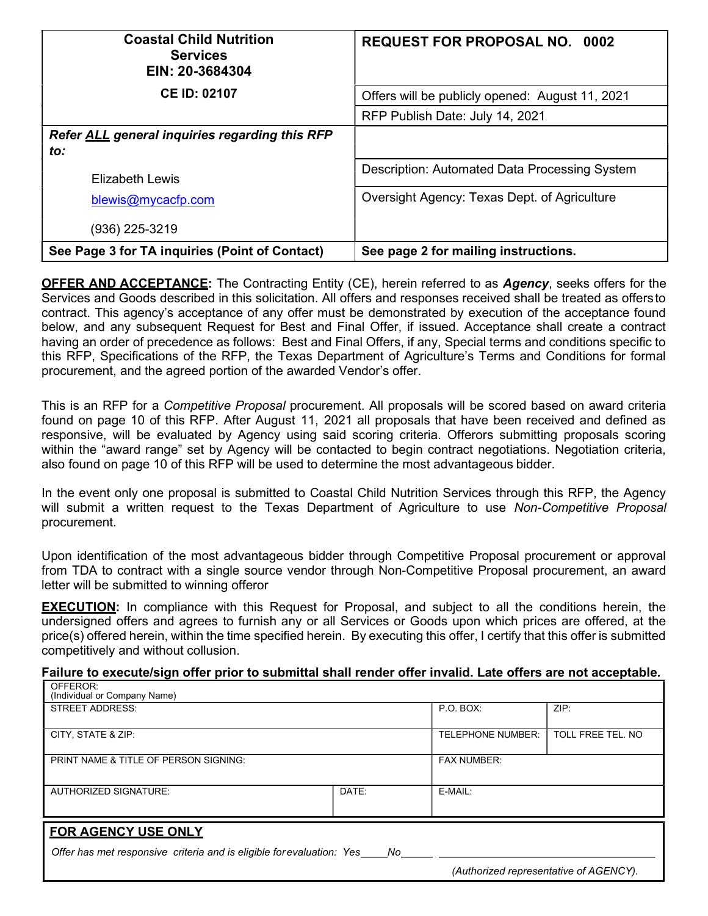| <b>Coastal Child Nutrition</b><br><b>Services</b><br>EIN: 20-3684304 | <b>REQUEST FOR PROPOSAL NO. 0002</b>                 |  |
|----------------------------------------------------------------------|------------------------------------------------------|--|
| <b>CE ID: 02107</b>                                                  | Offers will be publicly opened: August 11, 2021      |  |
|                                                                      | RFP Publish Date: July 14, 2021                      |  |
| Refer ALL general inquiries regarding this RFP                       |                                                      |  |
| to:                                                                  |                                                      |  |
| Flizabeth Lewis                                                      | <b>Description: Automated Data Processing System</b> |  |
| blewis@mycacfp.com                                                   | Oversight Agency: Texas Dept. of Agriculture         |  |
| (936) 225-3219                                                       |                                                      |  |
| See Page 3 for TA inquiries (Point of Contact)                       | See page 2 for mailing instructions.                 |  |

**OFFER AND ACCEPTANCE:** The Contracting Entity (CE), herein referred to as **Agency**, seeks offers for the Services and Goods described in this solicitation. All offers and responses received shall be treated as offers to contract. This agency's acceptance of any offer must be demonstrated by execution of the acceptance found below, and any subsequent Request for Best and Final Offer, if issued. Acceptance shall create a contract having an order of precedence as follows: Best and Final Offers, if any, Special terms and conditions specific to this RFP, Specifications of the RFP, the Texas Department of Agriculture's Terms and Conditions for formal procurement, and the agreed portion of the awarded Vendor's offer.

This is an RFP for a *Competitive Proposal* procurement. All proposals will be scored based on award criteria found on page 10 of this RFP. After August 11, 2021 all proposals that have been received and defined as responsive, will be evaluated by Agency using said scoring criteria. Offerors submitting proposals scoring within the "award range" set by Agency will be contacted to begin contract negotiations. Negotiation criteria, also found on page 10 of this RFP will be used to determine the most advantageous bidder.

In the event only one proposal is submitted to Coastal Child Nutrition Services through this RFP, the Agency will submit a written request to the Texas Department of Agriculture to use Non-Competitive Proposal procurement.

Upon identification of the most advantageous bidder through Competitive Proposal procurement or approval from TDA to contract with a single source vendor through Non-Competitive Proposal procurement, an award letter will be submitted to winning offeror

**EXECUTION:** In compliance with this Request for Proposal, and subject to all the conditions herein, the undersigned offers and agrees to furnish any or all Services or Goods upon which prices are offered, at the price(s) offered herein, within the time specified herein. By executing this offer, I certify that this offer is submitted competitively and without collusion.

# Failure to execute/sign offer prior to submittal shall render offer invalid. Late offers are not acceptable.

| OFFEROR:                                                                 |       |                                        |                   |  |  |
|--------------------------------------------------------------------------|-------|----------------------------------------|-------------------|--|--|
| (Individual or Company Name)                                             |       |                                        |                   |  |  |
| <b>STREET ADDRESS:</b>                                                   |       | P.O. BOX:                              | ZIP:              |  |  |
|                                                                          |       |                                        |                   |  |  |
| CITY, STATE & ZIP:                                                       |       | TELEPHONE NUMBER:                      | TOLL FREE TEL. NO |  |  |
|                                                                          |       |                                        |                   |  |  |
| PRINT NAME & TITLE OF PERSON SIGNING:                                    |       | <b>FAX NUMBER:</b>                     |                   |  |  |
|                                                                          |       |                                        |                   |  |  |
|                                                                          |       |                                        |                   |  |  |
| <b>AUTHORIZED SIGNATURE:</b>                                             | DATE: | E-MAIL:                                |                   |  |  |
|                                                                          |       |                                        |                   |  |  |
|                                                                          |       |                                        |                   |  |  |
| <b>FOR AGENCY USE ONLY</b>                                               |       |                                        |                   |  |  |
| Offer has met responsive criteria and is eligible for evaluation: Yes No |       |                                        |                   |  |  |
|                                                                          |       |                                        |                   |  |  |
|                                                                          |       | (Authorized representative of AGENCY). |                   |  |  |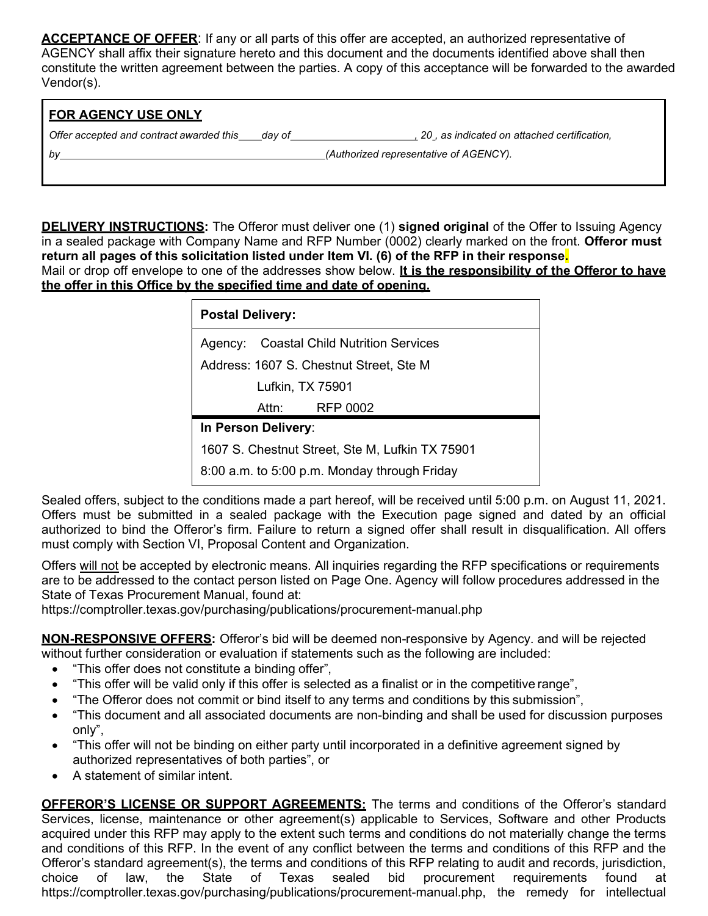ACCEPTANCE OF OFFER: If any or all parts of this offer are accepted, an authorized representative of AGENCY shall affix their signature hereto and this document and the documents identified above shall then constitute the written agreement between the parties. A copy of this acceptance will be forwarded to the awarded Vendor(s).

| <b>I FOR AGENCY USE ONLY</b>             |        |                                             |
|------------------------------------------|--------|---------------------------------------------|
| Offer accepted and contract awarded this | dav of | 20, as indicated on attached certification, |
| l bv                                     |        | (Authorized representative of AGENCY).      |

**DELIVERY INSTRUCTIONS:** The Offeror must deliver one (1) signed original of the Offer to Issuing Agency in a sealed package with Company Name and RFP Number (0002) clearly marked on the front. Offeror must return all pages of this solicitation listed under Item VI. (6) of the RFP in their response. Mail or drop off envelope to one of the addresses show below. It is the responsibility of the Offeror to have the offer in this Office by the specified time and date of opening.

| <b>Postal Delivery:</b>                            |  |  |  |
|----------------------------------------------------|--|--|--|
| <b>Coastal Child Nutrition Services</b><br>Agency: |  |  |  |
| Address: 1607 S. Chestnut Street, Ste M            |  |  |  |
| Lufkin, TX 75901                                   |  |  |  |
| Attn:<br>RFP 0002                                  |  |  |  |
| In Person Delivery:                                |  |  |  |
| 1607 S. Chestnut Street, Ste M, Lufkin TX 75901    |  |  |  |
| 8:00 a.m. to 5:00 p.m. Monday through Friday       |  |  |  |

Sealed offers, subject to the conditions made a part hereof, will be received until 5:00 p.m. on August 11, 2021. Offers must be submitted in a sealed package with the Execution page signed and dated by an official authorized to bind the Offeror's firm. Failure to return a signed offer shall result in disqualification. All offers must comply with Section VI, Proposal Content and Organization.

Offers will not be accepted by electronic means. All inquiries regarding the RFP specifications or requirements are to be addressed to the contact person listed on Page One. Agency will follow procedures addressed in the State of Texas Procurement Manual, found at:

https://comptroller.texas.gov/purchasing/publications/procurement-manual.php

NON-RESPONSIVE OFFERS: Offeror's bid will be deemed non-responsive by Agency. and will be rejected without further consideration or evaluation if statements such as the following are included:

- "This offer does not constitute a binding offer",
- "This offer will be valid only if this offer is selected as a finalist or in the competitive range",
- "The Offeror does not commit or bind itself to any terms and conditions by this submission",
- "This document and all associated documents are non-binding and shall be used for discussion purposes only",
- "This offer will not be binding on either party until incorporated in a definitive agreement signed by authorized representatives of both parties", or
- A statement of similar intent.

OFFEROR'S LICENSE OR SUPPORT AGREEMENTS: The terms and conditions of the Offeror's standard Services, license, maintenance or other agreement(s) applicable to Services, Software and other Products acquired under this RFP may apply to the extent such terms and conditions do not materially change the terms and conditions of this RFP. In the event of any conflict between the terms and conditions of this RFP and the Offeror's standard agreement(s), the terms and conditions of this RFP relating to audit and records, jurisdiction, choice of law, the State of Texas sealed bid procurement requirements found at https://comptroller.texas.gov/purchasing/publications/procurement-manual.php, the remedy for intellectual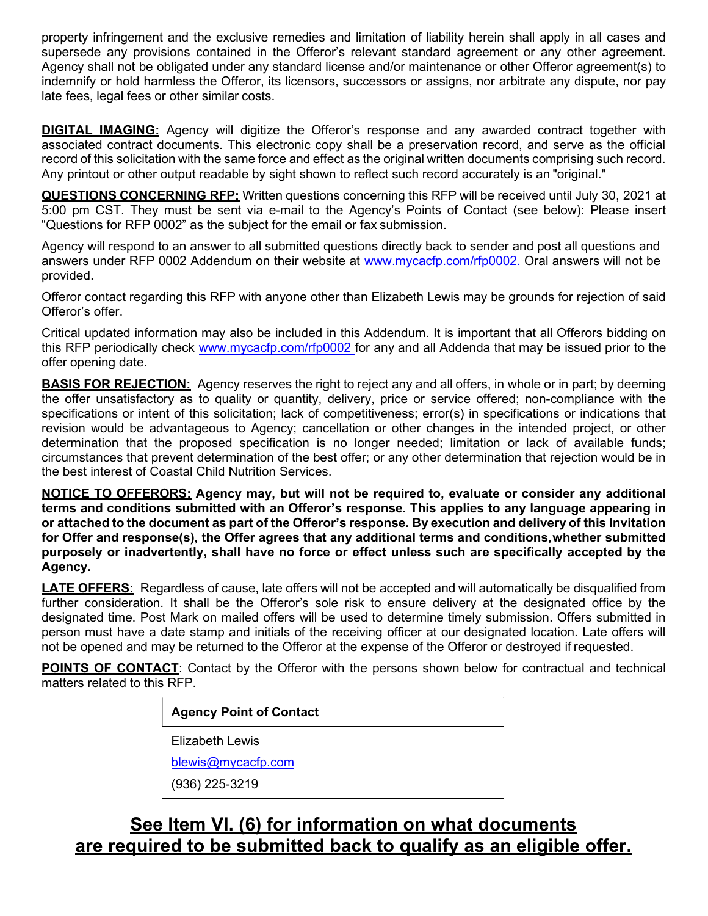property infringement and the exclusive remedies and limitation of liability herein shall apply in all cases and supersede any provisions contained in the Offeror's relevant standard agreement or any other agreement. Agency shall not be obligated under any standard license and/or maintenance or other Offeror agreement(s) to indemnify or hold harmless the Offeror, its licensors, successors or assigns, nor arbitrate any dispute, nor pay late fees, legal fees or other similar costs.

**DIGITAL IMAGING:** Agency will digitize the Offeror's response and any awarded contract together with associated contract documents. This electronic copy shall be a preservation record, and serve as the official record of this solicitation with the same force and effect as the original written documents comprising such record. Any printout or other output readable by sight shown to reflect such record accurately is an "original."

QUESTIONS CONCERNING RFP: Written questions concerning this RFP will be received until July 30, 2021 at 5:00 pm CST. They must be sent via e-mail to the Agency's Points of Contact (see below): Please insert "Questions for RFP 0002" as the subject for the email or fax submission.

Agency will respond to an answer to all submitted questions directly back to sender and post all questions and answers under RFP 0002 Addendum on their website at www.mycacfp.com/rfp0002. Oral answers will not be provided.

Offeror contact regarding this RFP with anyone other than Elizabeth Lewis may be grounds for rejection of said Offeror's offer.

Critical updated information may also be included in this Addendum. It is important that all Offerors bidding on this RFP periodically check www.mycacfp.com/rfp0002 for any and all Addenda that may be issued prior to the offer opening date.

**BASIS FOR REJECTION:** Agency reserves the right to reject any and all offers, in whole or in part; by deeming the offer unsatisfactory as to quality or quantity, delivery, price or service offered; non-compliance with the specifications or intent of this solicitation; lack of competitiveness; error(s) in specifications or indications that revision would be advantageous to Agency; cancellation or other changes in the intended project, or other determination that the proposed specification is no longer needed; limitation or lack of available funds; circumstances that prevent determination of the best offer; or any other determination that rejection would be in the best interest of Coastal Child Nutrition Services.

NOTICE TO OFFERORS: Agency may, but will not be required to, evaluate or consider any additional terms and conditions submitted with an Offeror's response. This applies to any language appearing in or attached to the document as part of the Offeror's response. By execution and delivery of this Invitation for Offer and response(s), the Offer agrees that any additional terms and conditions, whether submitted purposely or inadvertently, shall have no force or effect unless such are specifically accepted by the Agency.

**LATE OFFERS:** Regardless of cause, late offers will not be accepted and will automatically be disqualified from further consideration. It shall be the Offeror's sole risk to ensure delivery at the designated office by the designated time. Post Mark on mailed offers will be used to determine timely submission. Offers submitted in person must have a date stamp and initials of the receiving officer at our designated location. Late offers will not be opened and may be returned to the Offeror at the expense of the Offeror or destroyed if requested.

**POINTS OF CONTACT:** Contact by the Offeror with the persons shown below for contractual and technical matters related to this RFP.

| <b>Agency Point of Contact</b> |  |
|--------------------------------|--|
| Flizabeth Lewis                |  |
| blewis@mycacfp.com             |  |
| (936) 225-3219                 |  |

# See Item VI. (6) for information on what documents are required to be submitted back to qualify as an eligible offer.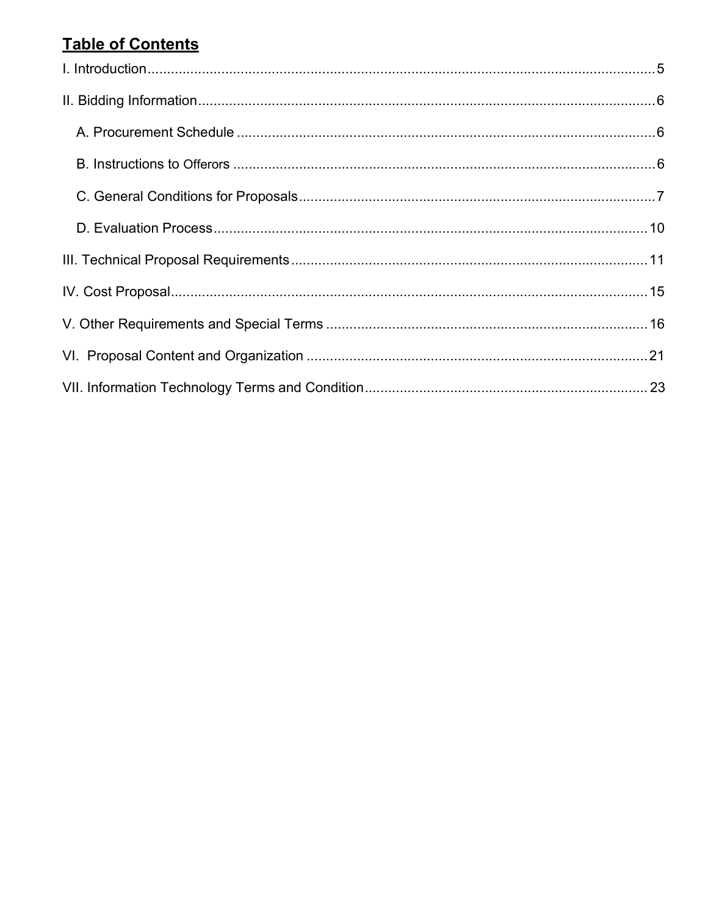# **Table of Contents**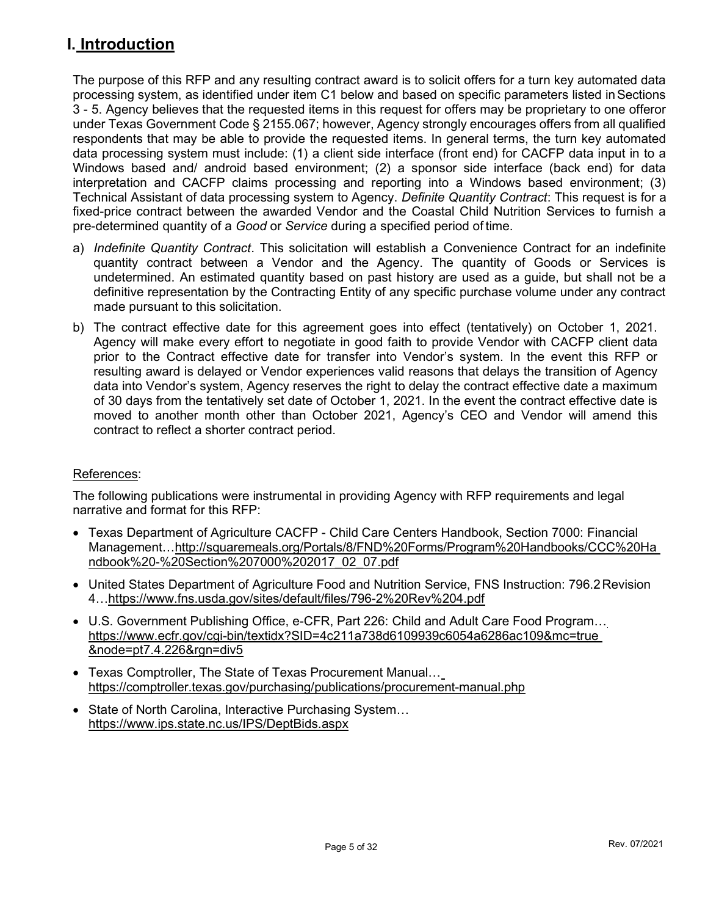# I. Introduction

The purpose of this RFP and any resulting contract award is to solicit offers for a turn key automated data processing system, as identified under item C1 below and based on specific parameters listed in Sections 3 - 5. Agency believes that the requested items in this request for offers may be proprietary to one offeror under Texas Government Code § 2155.067; however, Agency strongly encourages offers from all qualified respondents that may be able to provide the requested items. In general terms, the turn key automated data processing system must include: (1) a client side interface (front end) for CACFP data input in to a Windows based and/ android based environment; (2) a sponsor side interface (back end) for data interpretation and CACFP claims processing and reporting into a Windows based environment; (3) Technical Assistant of data processing system to Agency. Definite Quantity Contract: This request is for a fixed-price contract between the awarded Vendor and the Coastal Child Nutrition Services to furnish a pre-determined quantity of a *Good* or Service during a specified period of time.

- a) Indefinite Quantity Contract. This solicitation will establish a Convenience Contract for an indefinite quantity contract between a Vendor and the Agency. The quantity of Goods or Services is undetermined. An estimated quantity based on past history are used as a guide, but shall not be a definitive representation by the Contracting Entity of any specific purchase volume under any contract made pursuant to this solicitation.
- b) The contract effective date for this agreement goes into effect (tentatively) on October 1, 2021. Agency will make every effort to negotiate in good faith to provide Vendor with CACFP client data prior to the Contract effective date for transfer into Vendor's system. In the event this RFP or resulting award is delayed or Vendor experiences valid reasons that delays the transition of Agency data into Vendor's system, Agency reserves the right to delay the contract effective date a maximum of 30 days from the tentatively set date of October 1, 2021. In the event the contract effective date is moved to another month other than October 2021, Agency's CEO and Vendor will amend this contract to reflect a shorter contract period.

## References:

The following publications were instrumental in providing Agency with RFP requirements and legal narrative and format for this RFP:

- Texas Department of Agriculture CACFP Child Care Centers Handbook, Section 7000: Financial Management…http://squaremeals.org/Portals/8/FND%20Forms/Program%20Handbooks/CCC%20Ha ndbook%20-%20Section%207000%202017\_02\_07.pdf
- United States Department of Agriculture Food and Nutrition Service, FNS Instruction: 796.2 Revision 4…https://www.fns.usda.gov/sites/default/files/796-2%20Rev%204.pdf
- U.S. Government Publishing Office, e-CFR, Part 226: Child and Adult Care Food Program… https://www.ecfr.gov/cgi-bin/textidx?SID=4c211a738d6109939c6054a6286ac109&mc=true &node=pt7.4.226&rgn=div5
- Texas Comptroller, The State of Texas Procurement Manual… https://comptroller.texas.gov/purchasing/publications/procurement-manual.php
- State of North Carolina, Interactive Purchasing System... https://www.ips.state.nc.us/IPS/DeptBids.aspx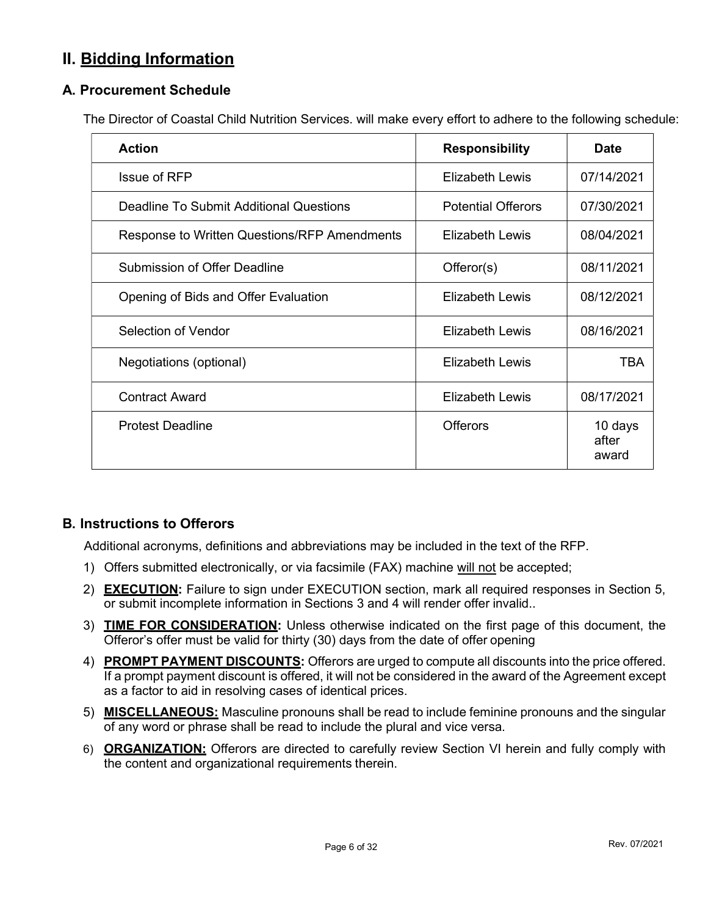# II. Bidding Information

## A. Procurement Schedule

The Director of Coastal Child Nutrition Services. will make every effort to adhere to the following schedule:

| <b>Action</b>                                | <b>Responsibility</b>     | <b>Date</b>               |
|----------------------------------------------|---------------------------|---------------------------|
| Issue of RFP                                 | Elizabeth Lewis           | 07/14/2021                |
| Deadline To Submit Additional Questions      | <b>Potential Offerors</b> | 07/30/2021                |
| Response to Written Questions/RFP Amendments | Elizabeth Lewis           | 08/04/2021                |
| <b>Submission of Offer Deadline</b>          | Offeror(s)                | 08/11/2021                |
| Opening of Bids and Offer Evaluation         | Elizabeth Lewis           | 08/12/2021                |
| Selection of Vendor                          | Elizabeth Lewis           | 08/16/2021                |
| Negotiations (optional)                      | Elizabeth Lewis           | TBA                       |
| <b>Contract Award</b>                        | Elizabeth Lewis           | 08/17/2021                |
| <b>Protest Deadline</b>                      | <b>Offerors</b>           | 10 days<br>after<br>award |

## B. Instructions to Offerors

Additional acronyms, definitions and abbreviations may be included in the text of the RFP.

- 1) Offers submitted electronically, or via facsimile (FAX) machine will not be accepted;
- 2) **EXECUTION:** Failure to sign under EXECUTION section, mark all required responses in Section 5, or submit incomplete information in Sections 3 and 4 will render offer invalid..
- 3) TIME FOR CONSIDERATION: Unless otherwise indicated on the first page of this document, the Offeror's offer must be valid for thirty (30) days from the date of offer opening
- 4) PROMPT PAYMENT DISCOUNTS: Offerors are urged to compute all discounts into the price offered. If a prompt payment discount is offered, it will not be considered in the award of the Agreement except as a factor to aid in resolving cases of identical prices.
- 5) MISCELLANEOUS: Masculine pronouns shall be read to include feminine pronouns and the singular of any word or phrase shall be read to include the plural and vice versa.
- 6) ORGANIZATION: Offerors are directed to carefully review Section VI herein and fully comply with the content and organizational requirements therein.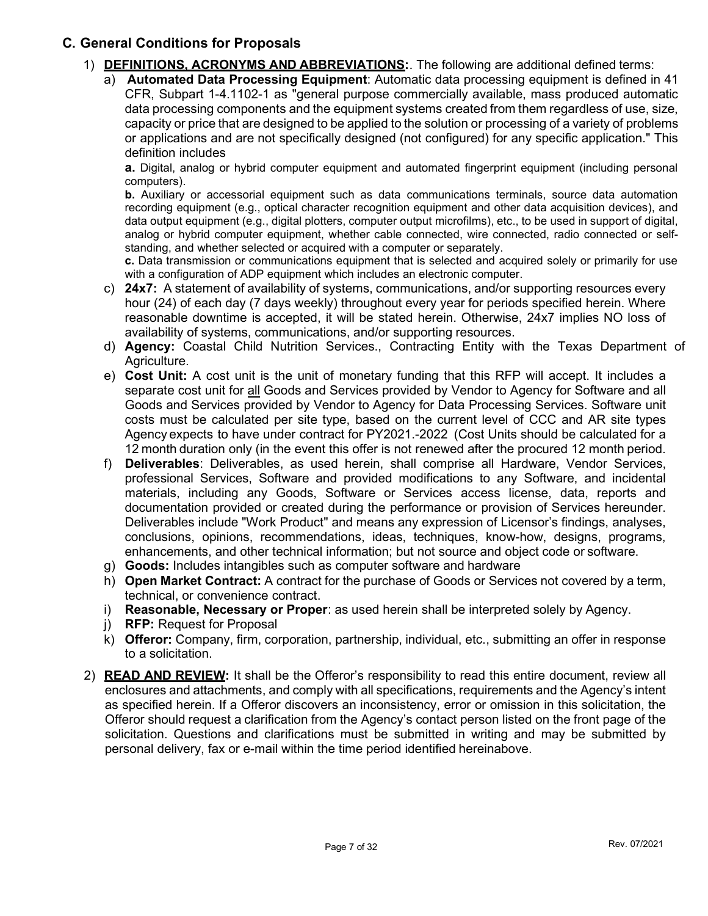## C. General Conditions for Proposals

- 1) **DEFINITIONS, ACRONYMS AND ABBREVIATIONS:** The following are additional defined terms:
	- a) **Automated Data Processing Equipment**: Automatic data processing equipment is defined in 41 CFR, Subpart 1-4.1102-1 as "general purpose commercially available, mass produced automatic data processing components and the equipment systems created from them regardless of use, size, capacity or price that are designed to be applied to the solution or processing of a variety of problems or applications and are not specifically designed (not configured) for any specific application." This definition includes

a. Digital, analog or hybrid computer equipment and automated fingerprint equipment (including personal computers).

b. Auxiliary or accessorial equipment such as data communications terminals, source data automation recording equipment (e.g., optical character recognition equipment and other data acquisition devices), and data output equipment (e.g., digital plotters, computer output microfilms), etc., to be used in support of digital, analog or hybrid computer equipment, whether cable connected, wire connected, radio connected or selfstanding, and whether selected or acquired with a computer or separately.

c. Data transmission or communications equipment that is selected and acquired solely or primarily for use with a configuration of ADP equipment which includes an electronic computer.

- c) **24x7:** A statement of availability of systems, communications, and/or supporting resources every hour (24) of each day (7 days weekly) throughout every year for periods specified herein. Where reasonable downtime is accepted, it will be stated herein. Otherwise, 24x7 implies NO loss of availability of systems, communications, and/or supporting resources.
- d) Agency: Coastal Child Nutrition Services., Contracting Entity with the Texas Department of Agriculture.
- e) Cost Unit: A cost unit is the unit of monetary funding that this RFP will accept. It includes a separate cost unit for all Goods and Services provided by Vendor to Agency for Software and all Goods and Services provided by Vendor to Agency for Data Processing Services. Software unit costs must be calculated per site type, based on the current level of CCC and AR site types Agency expects to have under contract for PY2021.-2022 (Cost Units should be calculated for a 12 month duration only (in the event this offer is not renewed after the procured 12 month period.
- f) Deliverables: Deliverables, as used herein, shall comprise all Hardware, Vendor Services, professional Services, Software and provided modifications to any Software, and incidental materials, including any Goods, Software or Services access license, data, reports and documentation provided or created during the performance or provision of Services hereunder. Deliverables include "Work Product" and means any expression of Licensor's findings, analyses, conclusions, opinions, recommendations, ideas, techniques, know-how, designs, programs, enhancements, and other technical information; but not source and object code or software.
- g) **Goods:** Includes intangibles such as computer software and hardware
- h) Open Market Contract: A contract for the purchase of Goods or Services not covered by a term, technical, or convenience contract.
- i) Reasonable, Necessary or Proper: as used herein shall be interpreted solely by Agency.
- j) RFP: Request for Proposal
- k) Offeror: Company, firm, corporation, partnership, individual, etc., submitting an offer in response to a solicitation.
- 2) **READ AND REVIEW:** It shall be the Offeror's responsibility to read this entire document, review all enclosures and attachments, and comply with all specifications, requirements and the Agency's intent as specified herein. If a Offeror discovers an inconsistency, error or omission in this solicitation, the Offeror should request a clarification from the Agency's contact person listed on the front page of the solicitation. Questions and clarifications must be submitted in writing and may be submitted by personal delivery, fax or e-mail within the time period identified hereinabove.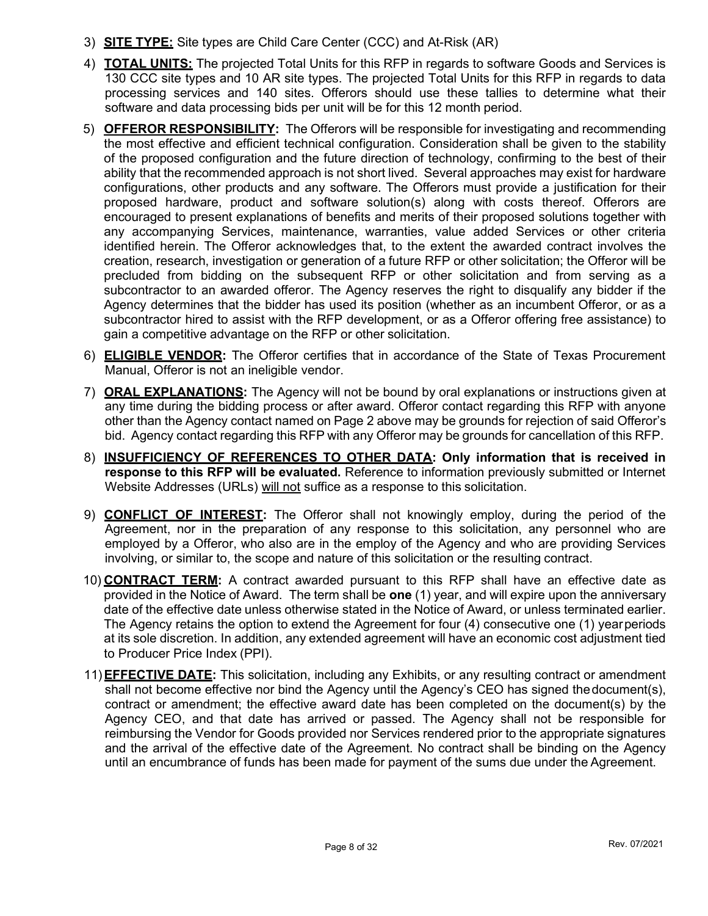- 3) **SITE TYPE:** Site types are Child Care Center (CCC) and At-Risk (AR)
- 4) **TOTAL UNITS:** The projected Total Units for this RFP in regards to software Goods and Services is 130 CCC site types and 10 AR site types. The projected Total Units for this RFP in regards to data processing services and 140 sites. Offerors should use these tallies to determine what their software and data processing bids per unit will be for this 12 month period.
- 5) OFFEROR RESPONSIBILITY: The Offerors will be responsible for investigating and recommending the most effective and efficient technical configuration. Consideration shall be given to the stability of the proposed configuration and the future direction of technology, confirming to the best of their ability that the recommended approach is not short lived. Several approaches may exist for hardware configurations, other products and any software. The Offerors must provide a justification for their proposed hardware, product and software solution(s) along with costs thereof. Offerors are encouraged to present explanations of benefits and merits of their proposed solutions together with any accompanying Services, maintenance, warranties, value added Services or other criteria identified herein. The Offeror acknowledges that, to the extent the awarded contract involves the creation, research, investigation or generation of a future RFP or other solicitation; the Offeror will be precluded from bidding on the subsequent RFP or other solicitation and from serving as a subcontractor to an awarded offeror. The Agency reserves the right to disqualify any bidder if the Agency determines that the bidder has used its position (whether as an incumbent Offeror, or as a subcontractor hired to assist with the RFP development, or as a Offeror offering free assistance) to gain a competitive advantage on the RFP or other solicitation.
- 6) ELIGIBLE VENDOR: The Offeror certifies that in accordance of the State of Texas Procurement Manual, Offeror is not an ineligible vendor.
- 7) **ORAL EXPLANATIONS:** The Agency will not be bound by oral explanations or instructions given at any time during the bidding process or after award. Offeror contact regarding this RFP with anyone other than the Agency contact named on Page 2 above may be grounds for rejection of said Offeror's bid. Agency contact regarding this RFP with any Offeror may be grounds for cancellation of this RFP.
- 8) INSUFFICIENCY OF REFERENCES TO OTHER DATA: Only information that is received in response to this RFP will be evaluated. Reference to information previously submitted or Internet Website Addresses (URLs) will not suffice as a response to this solicitation.
- 9) **CONFLICT OF INTEREST:** The Offeror shall not knowingly employ, during the period of the Agreement, nor in the preparation of any response to this solicitation, any personnel who are employed by a Offeror, who also are in the employ of the Agency and who are providing Services involving, or similar to, the scope and nature of this solicitation or the resulting contract.
- 10) CONTRACT TERM: A contract awarded pursuant to this RFP shall have an effective date as provided in the Notice of Award. The term shall be one (1) year, and will expire upon the anniversary date of the effective date unless otherwise stated in the Notice of Award, or unless terminated earlier. The Agency retains the option to extend the Agreement for four (4) consecutive one (1) year periods at its sole discretion. In addition, any extended agreement will have an economic cost adjustment tied to Producer Price Index (PPI).
- 11) **EFFECTIVE DATE:** This solicitation, including any Exhibits, or any resulting contract or amendment shall not become effective nor bind the Agency until the Agency's CEO has signed the document(s), contract or amendment; the effective award date has been completed on the document(s) by the Agency CEO, and that date has arrived or passed. The Agency shall not be responsible for reimbursing the Vendor for Goods provided nor Services rendered prior to the appropriate signatures and the arrival of the effective date of the Agreement. No contract shall be binding on the Agency until an encumbrance of funds has been made for payment of the sums due under the Agreement.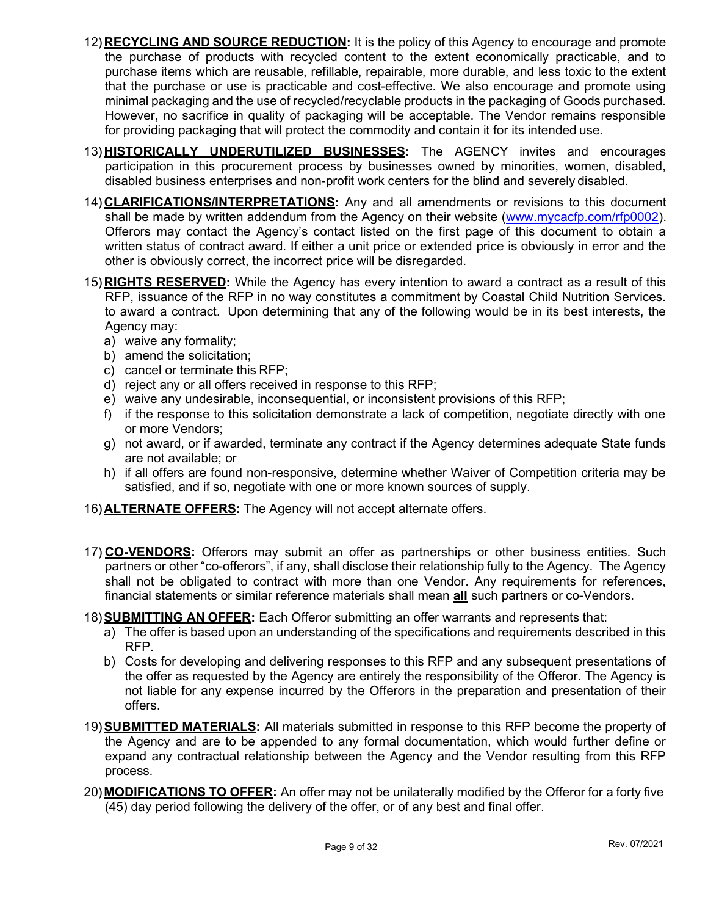- 12) RECYCLING AND SOURCE REDUCTION: It is the policy of this Agency to encourage and promote the purchase of products with recycled content to the extent economically practicable, and to purchase items which are reusable, refillable, repairable, more durable, and less toxic to the extent that the purchase or use is practicable and cost-effective. We also encourage and promote using minimal packaging and the use of recycled/recyclable products in the packaging of Goods purchased. However, no sacrifice in quality of packaging will be acceptable. The Vendor remains responsible for providing packaging that will protect the commodity and contain it for its intended use.
- 13) HISTORICALLY UNDERUTILIZED BUSINESSES: The AGENCY invites and encourages participation in this procurement process by businesses owned by minorities, women, disabled, disabled business enterprises and non-profit work centers for the blind and severely disabled.
- 14) CLARIFICATIONS/INTERPRETATIONS: Any and all amendments or revisions to this document shall be made by written addendum from the Agency on their website (www.mycacfp.com/rfp0002). Offerors may contact the Agency's contact listed on the first page of this document to obtain a written status of contract award. If either a unit price or extended price is obviously in error and the other is obviously correct, the incorrect price will be disregarded.
- 15) RIGHTS RESERVED: While the Agency has every intention to award a contract as a result of this RFP, issuance of the RFP in no way constitutes a commitment by Coastal Child Nutrition Services. to award a contract. Upon determining that any of the following would be in its best interests, the Agency may:
	- a) waive any formality;
	- b) amend the solicitation;
	- c) cancel or terminate this RFP;
	- d) reject any or all offers received in response to this RFP;
	- e) waive any undesirable, inconsequential, or inconsistent provisions of this RFP;
	- f) if the response to this solicitation demonstrate a lack of competition, negotiate directly with one or more Vendors;
	- g) not award, or if awarded, terminate any contract if the Agency determines adequate State funds are not available; or
	- h) if all offers are found non-responsive, determine whether Waiver of Competition criteria may be satisfied, and if so, negotiate with one or more known sources of supply.
- 16) **ALTERNATE OFFERS:** The Agency will not accept alternate offers.
- 17) CO-VENDORS: Offerors may submit an offer as partnerships or other business entities. Such partners or other "co-offerors", if any, shall disclose their relationship fully to the Agency. The Agency shall not be obligated to contract with more than one Vendor. Any requirements for references, financial statements or similar reference materials shall mean **all** such partners or co-Vendors.
- 18) **SUBMITTING AN OFFER:** Each Offeror submitting an offer warrants and represents that:
	- a) The offer is based upon an understanding of the specifications and requirements described in this RFP.
	- b) Costs for developing and delivering responses to this RFP and any subsequent presentations of the offer as requested by the Agency are entirely the responsibility of the Offeror. The Agency is not liable for any expense incurred by the Offerors in the preparation and presentation of their offers.
- 19) **SUBMITTED MATERIALS:** All materials submitted in response to this RFP become the property of the Agency and are to be appended to any formal documentation, which would further define or expand any contractual relationship between the Agency and the Vendor resulting from this RFP process.
- 20) **MODIFICATIONS TO OFFER:** An offer may not be unilaterally modified by the Offeror for a forty five (45) day period following the delivery of the offer, or of any best and final offer.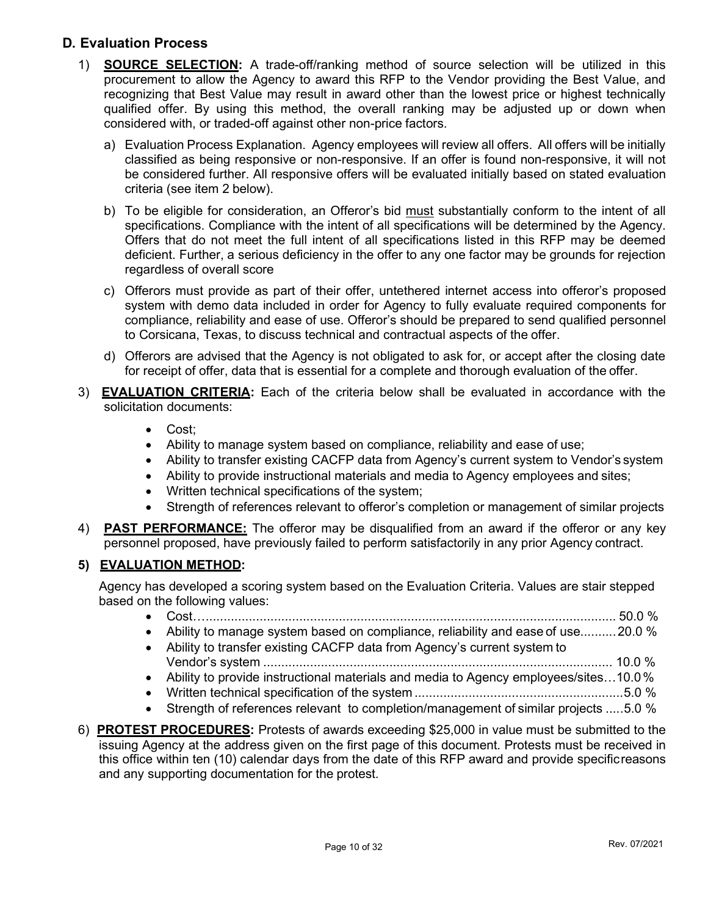## D. Evaluation Process

- 1) SOURCE SELECTION: A trade-off/ranking method of source selection will be utilized in this procurement to allow the Agency to award this RFP to the Vendor providing the Best Value, and recognizing that Best Value may result in award other than the lowest price or highest technically qualified offer. By using this method, the overall ranking may be adjusted up or down when considered with, or traded-off against other non-price factors.
	- a) Evaluation Process Explanation. Agency employees will review all offers. All offers will be initially classified as being responsive or non-responsive. If an offer is found non-responsive, it will not be considered further. All responsive offers will be evaluated initially based on stated evaluation criteria (see item 2 below).
	- b) To be eligible for consideration, an Offeror's bid must substantially conform to the intent of all specifications. Compliance with the intent of all specifications will be determined by the Agency. Offers that do not meet the full intent of all specifications listed in this RFP may be deemed deficient. Further, a serious deficiency in the offer to any one factor may be grounds for rejection regardless of overall score
	- c) Offerors must provide as part of their offer, untethered internet access into offeror's proposed system with demo data included in order for Agency to fully evaluate required components for compliance, reliability and ease of use. Offeror's should be prepared to send qualified personnel to Corsicana, Texas, to discuss technical and contractual aspects of the offer.
	- d) Offerors are advised that the Agency is not obligated to ask for, or accept after the closing date for receipt of offer, data that is essential for a complete and thorough evaluation of the offer.
- 3) **EVALUATION CRITERIA:** Each of the criteria below shall be evaluated in accordance with the solicitation documents:
	- Cost:
	- Ability to manage system based on compliance, reliability and ease of use;
	- Ability to transfer existing CACFP data from Agency's current system to Vendor's system
	- Ability to provide instructional materials and media to Agency employees and sites;
	- Written technical specifications of the system;
	- Strength of references relevant to offeror's completion or management of similar projects
- 4) **PAST PERFORMANCE:** The offeror may be disqualified from an award if the offeror or any key personnel proposed, have previously failed to perform satisfactorily in any prior Agency contract.

## 5) EVALUATION METHOD:

Agency has developed a scoring system based on the Evaluation Criteria. Values are stair stepped based on the following values:

- Cost… .................................................................................................................. 50.0 %
- Ability to manage system based on compliance, reliability and ease of use.......... 20.0 %
- Ability to transfer existing CACFP data from Agency's current system to Vendor's system ................................................................................................. 10.0 %
- Ability to provide instructional materials and media to Agency employees/sites…10.0 %
- Written technical specification of the system .......................................................... 5.0 %
- Strength of references relevant to completion/management of similar projects ..... 5.0 %
- 6) **PROTEST PROCEDURES:** Protests of awards exceeding \$25,000 in value must be submitted to the issuing Agency at the address given on the first page of this document. Protests must be received in this office within ten (10) calendar days from the date of this RFP award and provide specific reasons and any supporting documentation for the protest.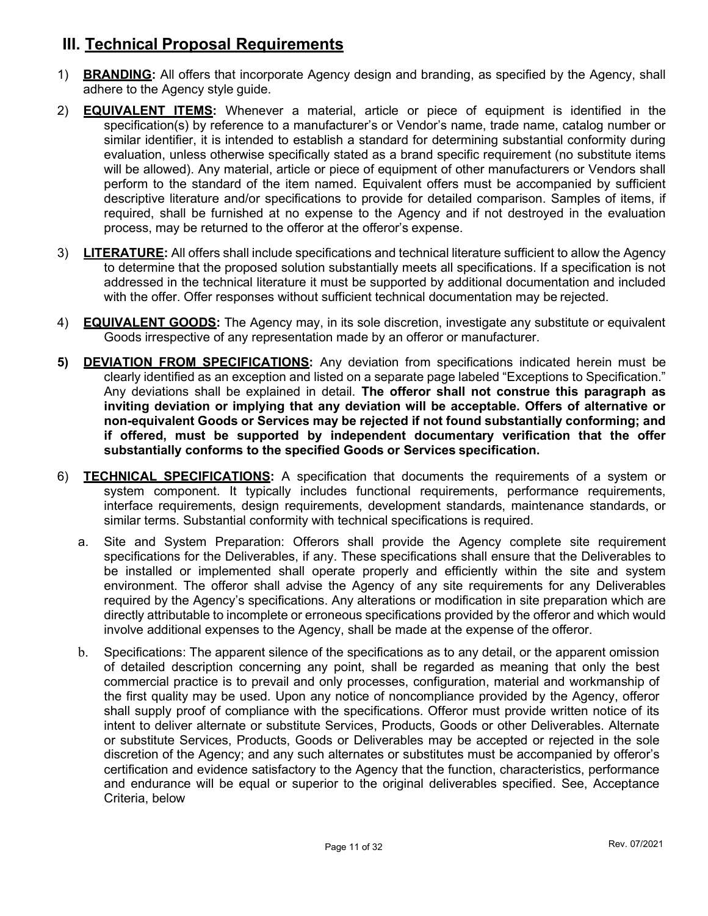# III. Technical Proposal Requirements

- 1) **BRANDING:** All offers that incorporate Agency design and branding, as specified by the Agency, shall adhere to the Agency style guide.
- 2) **EQUIVALENT ITEMS:** Whenever a material, article or piece of equipment is identified in the specification(s) by reference to a manufacturer's or Vendor's name, trade name, catalog number or similar identifier, it is intended to establish a standard for determining substantial conformity during evaluation, unless otherwise specifically stated as a brand specific requirement (no substitute items will be allowed). Any material, article or piece of equipment of other manufacturers or Vendors shall perform to the standard of the item named. Equivalent offers must be accompanied by sufficient descriptive literature and/or specifications to provide for detailed comparison. Samples of items, if required, shall be furnished at no expense to the Agency and if not destroyed in the evaluation process, may be returned to the offeror at the offeror's expense.
- 3) LITERATURE: All offers shall include specifications and technical literature sufficient to allow the Agency to determine that the proposed solution substantially meets all specifications. If a specification is not addressed in the technical literature it must be supported by additional documentation and included with the offer. Offer responses without sufficient technical documentation may be rejected.
- 4) **EQUIVALENT GOODS:** The Agency may, in its sole discretion, investigate any substitute or equivalent Goods irrespective of any representation made by an offeror or manufacturer.
- 5) **DEVIATION FROM SPECIFICATIONS:** Any deviation from specifications indicated herein must be clearly identified as an exception and listed on a separate page labeled "Exceptions to Specification." Any deviations shall be explained in detail. The offeror shall not construe this paragraph as inviting deviation or implying that any deviation will be acceptable. Offers of alternative or non-equivalent Goods or Services may be rejected if not found substantially conforming; and if offered, must be supported by independent documentary verification that the offer substantially conforms to the specified Goods or Services specification.
- 6) **TECHNICAL SPECIFICATIONS:** A specification that documents the requirements of a system or system component. It typically includes functional requirements, performance requirements, interface requirements, design requirements, development standards, maintenance standards, or similar terms. Substantial conformity with technical specifications is required.
	- a. Site and System Preparation: Offerors shall provide the Agency complete site requirement specifications for the Deliverables, if any. These specifications shall ensure that the Deliverables to be installed or implemented shall operate properly and efficiently within the site and system environment. The offeror shall advise the Agency of any site requirements for any Deliverables required by the Agency's specifications. Any alterations or modification in site preparation which are directly attributable to incomplete or erroneous specifications provided by the offeror and which would involve additional expenses to the Agency, shall be made at the expense of the offeror.
	- b. Specifications: The apparent silence of the specifications as to any detail, or the apparent omission of detailed description concerning any point, shall be regarded as meaning that only the best commercial practice is to prevail and only processes, configuration, material and workmanship of the first quality may be used. Upon any notice of noncompliance provided by the Agency, offeror shall supply proof of compliance with the specifications. Offeror must provide written notice of its intent to deliver alternate or substitute Services, Products, Goods or other Deliverables. Alternate or substitute Services, Products, Goods or Deliverables may be accepted or rejected in the sole discretion of the Agency; and any such alternates or substitutes must be accompanied by offeror's certification and evidence satisfactory to the Agency that the function, characteristics, performance and endurance will be equal or superior to the original deliverables specified. See, Acceptance Criteria, below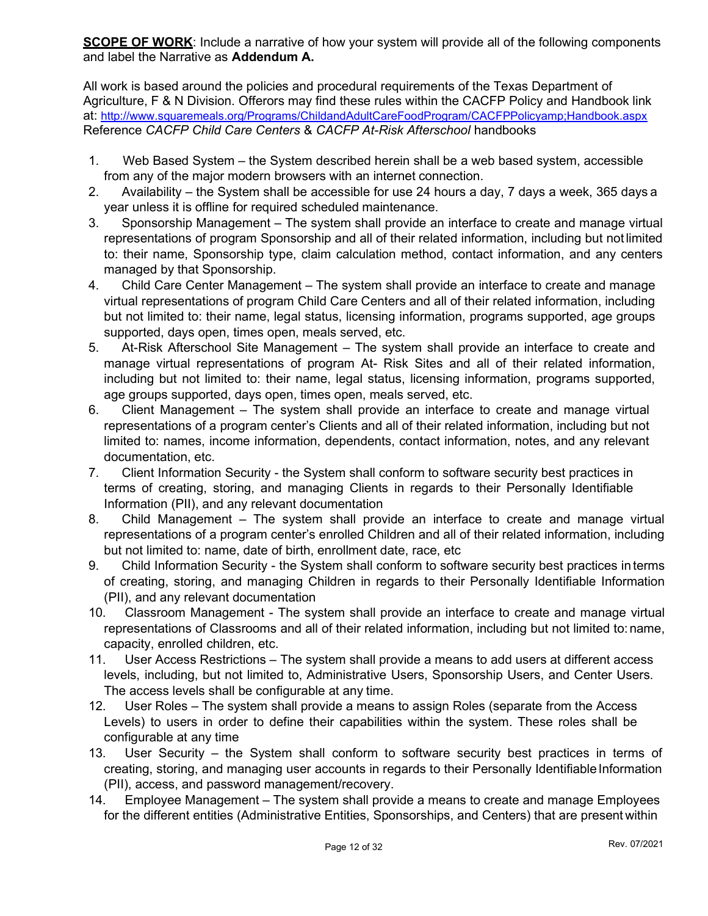**SCOPE OF WORK:** Include a narrative of how your system will provide all of the following components and label the Narrative as Addendum A.

All work is based around the policies and procedural requirements of the Texas Department of Agriculture, F & N Division. Offerors may find these rules within the CACFP Policy and Handbook link at: http://www.squaremeals.org/Programs/ChildandAdultCareFoodProgram/CACFPPolicyamp;Handbook.aspx Reference CACFP Child Care Centers & CACFP At-Risk Afterschool handbooks

- 1. Web Based System the System described herein shall be a web based system, accessible from any of the major modern browsers with an internet connection.
- 2. Availability the System shall be accessible for use 24 hours a day, 7 days a week, 365 days a year unless it is offline for required scheduled maintenance.
- 3. Sponsorship Management The system shall provide an interface to create and manage virtual representations of program Sponsorship and all of their related information, including but not limited to: their name, Sponsorship type, claim calculation method, contact information, and any centers managed by that Sponsorship.
- 4. Child Care Center Management The system shall provide an interface to create and manage virtual representations of program Child Care Centers and all of their related information, including but not limited to: their name, legal status, licensing information, programs supported, age groups supported, days open, times open, meals served, etc.
- 5. At-Risk Afterschool Site Management The system shall provide an interface to create and manage virtual representations of program At- Risk Sites and all of their related information, including but not limited to: their name, legal status, licensing information, programs supported, age groups supported, days open, times open, meals served, etc.
- 6. Client Management The system shall provide an interface to create and manage virtual representations of a program center's Clients and all of their related information, including but not limited to: names, income information, dependents, contact information, notes, and any relevant documentation, etc.
- 7. Client Information Security the System shall conform to software security best practices in terms of creating, storing, and managing Clients in regards to their Personally Identifiable Information (PII), and any relevant documentation
- 8. Child Management The system shall provide an interface to create and manage virtual representations of a program center's enrolled Children and all of their related information, including but not limited to: name, date of birth, enrollment date, race, etc
- 9. Child Information Security the System shall conform to software security best practices in terms of creating, storing, and managing Children in regards to their Personally Identifiable Information (PII), and any relevant documentation
- 10. Classroom Management The system shall provide an interface to create and manage virtual representations of Classrooms and all of their related information, including but not limited to: name, capacity, enrolled children, etc.
- 11. User Access Restrictions The system shall provide a means to add users at different access levels, including, but not limited to, Administrative Users, Sponsorship Users, and Center Users. The access levels shall be configurable at any time.
- 12. User Roles The system shall provide a means to assign Roles (separate from the Access Levels) to users in order to define their capabilities within the system. These roles shall be configurable at any time
- 13. User Security the System shall conform to software security best practices in terms of creating, storing, and managing user accounts in regards to their Personally Identifiable Information (PII), access, and password management/recovery.
- 14. Employee Management The system shall provide a means to create and manage Employees for the different entities (Administrative Entities, Sponsorships, and Centers) that are present within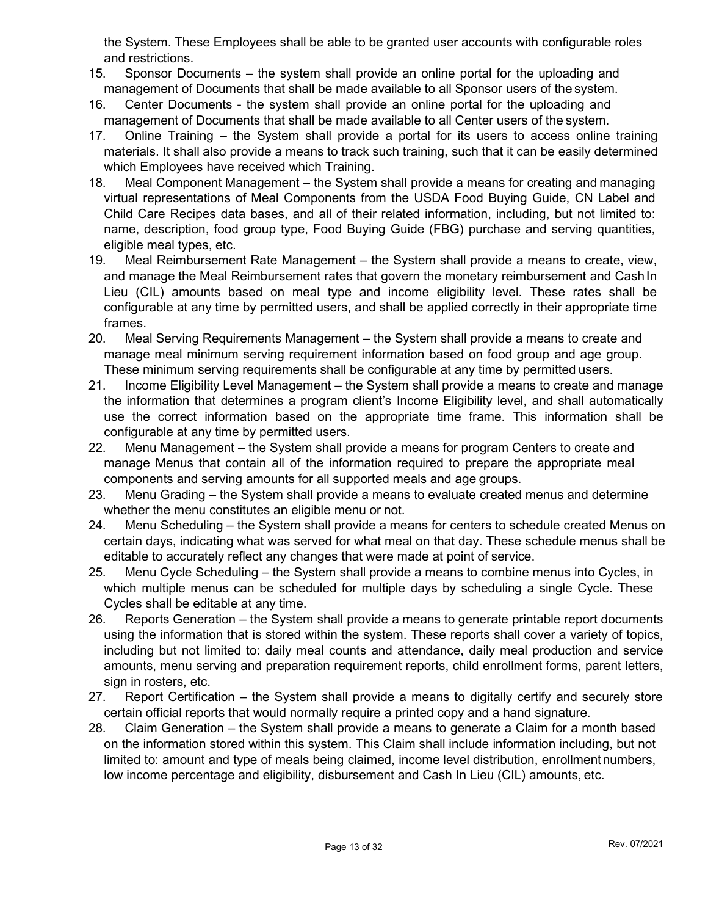the System. These Employees shall be able to be granted user accounts with configurable roles and restrictions.

- 15. Sponsor Documents the system shall provide an online portal for the uploading and management of Documents that shall be made available to all Sponsor users of the system.
- 16. Center Documents the system shall provide an online portal for the uploading and management of Documents that shall be made available to all Center users of the system.
- 17. Online Training the System shall provide a portal for its users to access online training materials. It shall also provide a means to track such training, such that it can be easily determined which Employees have received which Training.
- 18. Meal Component Management the System shall provide a means for creating and managing virtual representations of Meal Components from the USDA Food Buying Guide, CN Label and Child Care Recipes data bases, and all of their related information, including, but not limited to: name, description, food group type, Food Buying Guide (FBG) purchase and serving quantities, eligible meal types, etc.
- 19. Meal Reimbursement Rate Management the System shall provide a means to create, view, and manage the Meal Reimbursement rates that govern the monetary reimbursement and Cash In Lieu (CIL) amounts based on meal type and income eligibility level. These rates shall be configurable at any time by permitted users, and shall be applied correctly in their appropriate time frames.
- 20. Meal Serving Requirements Management the System shall provide a means to create and manage meal minimum serving requirement information based on food group and age group. These minimum serving requirements shall be configurable at any time by permitted users.
- 21. Income Eligibility Level Management the System shall provide a means to create and manage the information that determines a program client's Income Eligibility level, and shall automatically use the correct information based on the appropriate time frame. This information shall be configurable at any time by permitted users.
- 22. Menu Management the System shall provide a means for program Centers to create and manage Menus that contain all of the information required to prepare the appropriate meal components and serving amounts for all supported meals and age groups.
- 23. Menu Grading the System shall provide a means to evaluate created menus and determine whether the menu constitutes an eligible menu or not.
- 24. Menu Scheduling the System shall provide a means for centers to schedule created Menus on certain days, indicating what was served for what meal on that day. These schedule menus shall be editable to accurately reflect any changes that were made at point of service.
- 25. Menu Cycle Scheduling the System shall provide a means to combine menus into Cycles, in which multiple menus can be scheduled for multiple days by scheduling a single Cycle. These Cycles shall be editable at any time.
- 26. Reports Generation the System shall provide a means to generate printable report documents using the information that is stored within the system. These reports shall cover a variety of topics, including but not limited to: daily meal counts and attendance, daily meal production and service amounts, menu serving and preparation requirement reports, child enrollment forms, parent letters, sign in rosters, etc.
- 27. Report Certification the System shall provide a means to digitally certify and securely store certain official reports that would normally require a printed copy and a hand signature.
- 28. Claim Generation the System shall provide a means to generate a Claim for a month based on the information stored within this system. This Claim shall include information including, but not limited to: amount and type of meals being claimed, income level distribution, enrollment numbers, low income percentage and eligibility, disbursement and Cash In Lieu (CIL) amounts, etc.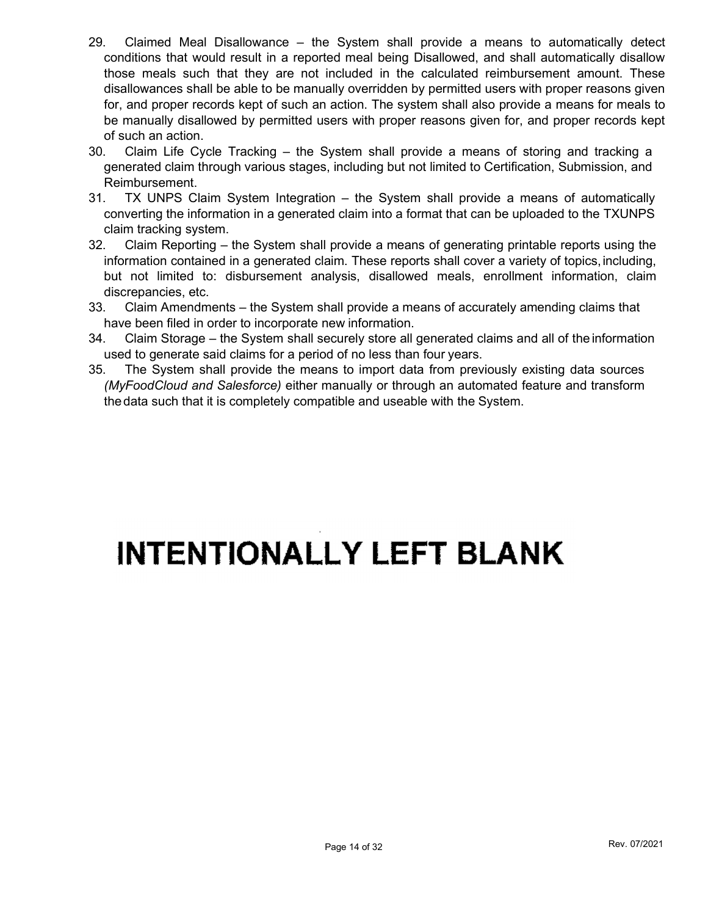- 29. Claimed Meal Disallowance the System shall provide a means to automatically detect conditions that would result in a reported meal being Disallowed, and shall automatically disallow those meals such that they are not included in the calculated reimbursement amount. These disallowances shall be able to be manually overridden by permitted users with proper reasons given for, and proper records kept of such an action. The system shall also provide a means for meals to be manually disallowed by permitted users with proper reasons given for, and proper records kept of such an action.
- 30. Claim Life Cycle Tracking the System shall provide a means of storing and tracking a generated claim through various stages, including but not limited to Certification, Submission, and Reimbursement.
- 31. TX UNPS Claim System Integration the System shall provide a means of automatically converting the information in a generated claim into a format that can be uploaded to the TXUNPS claim tracking system.
- 32. Claim Reporting the System shall provide a means of generating printable reports using the information contained in a generated claim. These reports shall cover a variety of topics, including, but not limited to: disbursement analysis, disallowed meals, enrollment information, claim discrepancies, etc.
- 33. Claim Amendments the System shall provide a means of accurately amending claims that have been filed in order to incorporate new information.
- 34. Claim Storage the System shall securely store all generated claims and all of the information used to generate said claims for a period of no less than four years.
- 35. The System shall provide the means to import data from previously existing data sources (MyFoodCloud and Salesforce) either manually or through an automated feature and transform the data such that it is completely compatible and useable with the System.

# **INTENTIONALLY LEFT BLANK**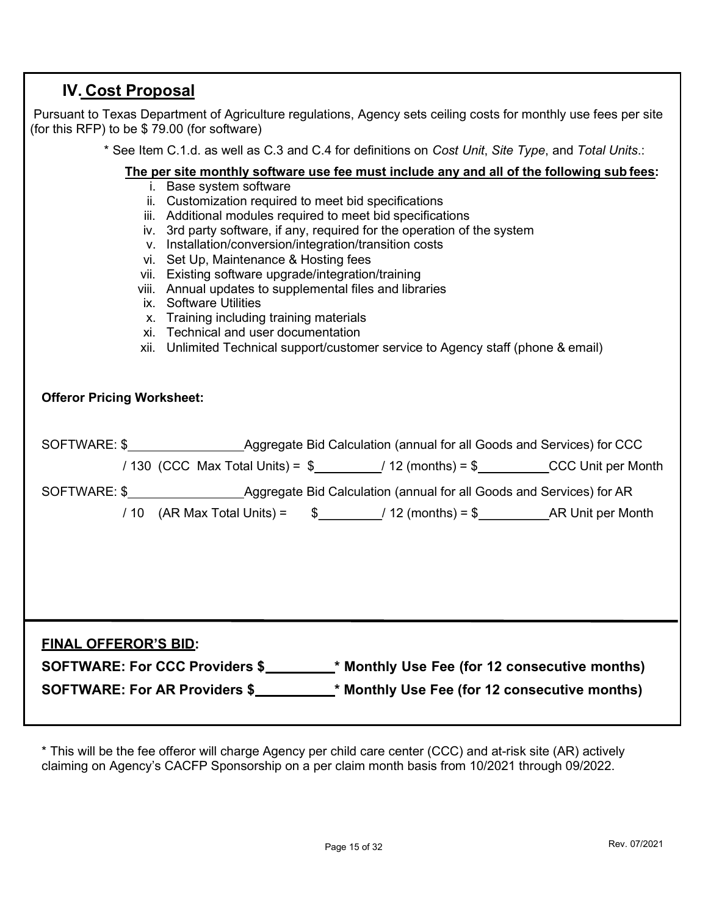# IV. Cost Proposal

 Pursuant to Texas Department of Agriculture regulations, Agency sets ceiling costs for monthly use fees per site (for this RFP) to be \$ 79.00 (for software)

\* See Item C.1.d. as well as C.3 and C.4 for definitions on Cost Unit, Site Type, and Total Units.:

#### The per site monthly software use fee must include any and all of the following sub fees:

- i. Base system software
- ii. Customization required to meet bid specifications
- iii. Additional modules required to meet bid specifications
- iv. 3rd party software, if any, required for the operation of the system
- v. Installation/conversion/integration/transition costs
- vi. Set Up, Maintenance & Hosting fees
- vii. Existing software upgrade/integration/training
- viii. Annual updates to supplemental files and libraries
- ix. Software Utilities
- x. Training including training materials
- xi. Technical and user documentation
- xii. Unlimited Technical support/customer service to Agency staff (phone & email)

#### Offeror Pricing Worksheet:

|                             |  |  | / 130 (CCC Max Total Units) = $\frac{1}{2}$ __________/ 12 (months) = $\frac{1}{2}$ __________CCC Unit per Month |
|-----------------------------|--|--|------------------------------------------------------------------------------------------------------------------|
|                             |  |  |                                                                                                                  |
|                             |  |  | / 10 (AR Max Total Units) = $\frac{2}{3}$ $\frac{12}{2}$ (months) = $\frac{2}{3}$ AR Unit per Month              |
|                             |  |  |                                                                                                                  |
|                             |  |  |                                                                                                                  |
|                             |  |  |                                                                                                                  |
|                             |  |  |                                                                                                                  |
| <b>FINAL OFFEROR'S BID:</b> |  |  |                                                                                                                  |

| <b>SOFTWARE: For CCC Providers \$</b> | * Monthly Use Fee (for 12 consecutive months) |
|---------------------------------------|-----------------------------------------------|
| <b>SOFTWARE: For AR Providers \$</b>  | * Monthly Use Fee (for 12 consecutive months) |

\* This will be the fee offeror will charge Agency per child care center (CCC) and at-risk site (AR) actively claiming on Agency's CACFP Sponsorship on a per claim month basis from 10/2021 through 09/2022.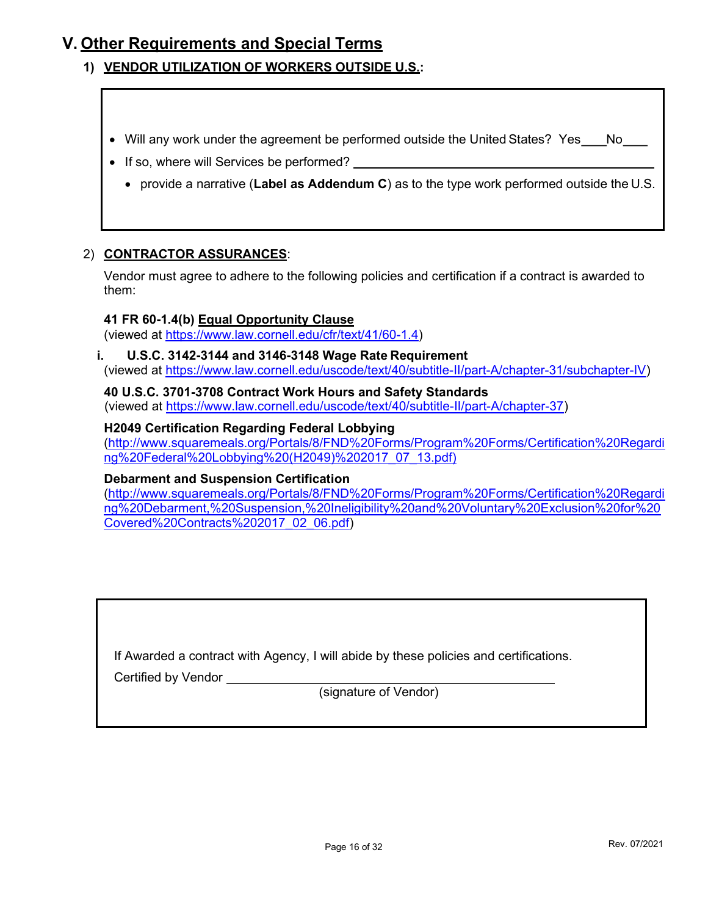# V. Other Requirements and Special Terms

- 1) VENDOR UTILIZATION OF WORKERS OUTSIDE U.S.:
	- Will any work under the agreement be performed outside the United States? Yes \_\_\_ No \_\_\_
	- If so, where will Services be performed?
		- provide a narrative (Label as Addendum C) as to the type work performed outside the U.S.

#### 2) CONTRACTOR ASSURANCES:

Vendor must agree to adhere to the following policies and certification if a contract is awarded to them:

#### 41 FR 60-1.4(b) Equal Opportunity Clause

(viewed at https://www.law.cornell.edu/cfr/text/41/60-1.4)

i. U.S.C. 3142-3144 and 3146-3148 Wage Rate Requirement (viewed at https://www.law.cornell.edu/uscode/text/40/subtitle-II/part-A/chapter-31/subchapter-IV)

40 U.S.C. 3701-3708 Contract Work Hours and Safety Standards (viewed at https://www.law.cornell.edu/uscode/text/40/subtitle-II/part-A/chapter-37)

#### H2049 Certification Regarding Federal Lobbying

(http://www.squaremeals.org/Portals/8/FND%20Forms/Program%20Forms/Certification%20Regardi ng%20Federal%20Lobbying%20(H2049)%202017\_07\_13.pdf)

#### Debarment and Suspension Certification

(http://www.squaremeals.org/Portals/8/FND%20Forms/Program%20Forms/Certification%20Regardi ng%20Debarment,%20Suspension,%20Ineligibility%20and%20Voluntary%20Exclusion%20for%20 Covered%20Contracts%202017\_02\_06.pdf)

If Awarded a contract with Agency, I will abide by these policies and certifications.

Certified by Vendor

(signature of Vendor)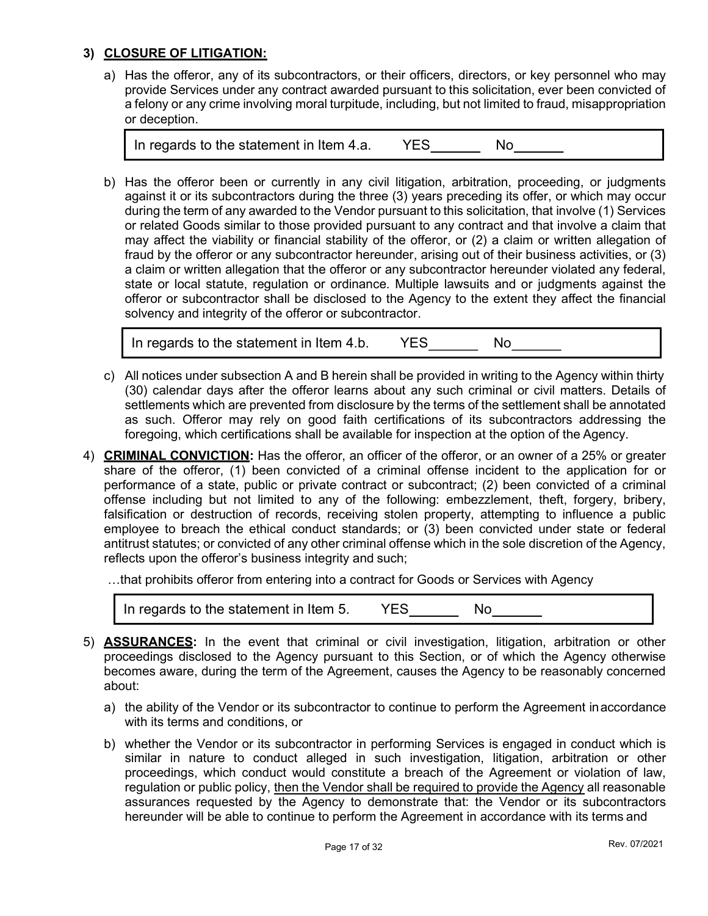### 3) CLOSURE OF LITIGATION:

a) Has the offeror, any of its subcontractors, or their officers, directors, or key personnel who may provide Services under any contract awarded pursuant to this solicitation, ever been convicted of a felony or any crime involving moral turpitude, including, but not limited to fraud, misappropriation or deception.

| In regards to the statement in Item 4.a. |  | Nο |  |
|------------------------------------------|--|----|--|
|------------------------------------------|--|----|--|

b) Has the offeror been or currently in any civil litigation, arbitration, proceeding, or judgments against it or its subcontractors during the three (3) years preceding its offer, or which may occur during the term of any awarded to the Vendor pursuant to this solicitation, that involve (1) Services or related Goods similar to those provided pursuant to any contract and that involve a claim that may affect the viability or financial stability of the offeror, or (2) a claim or written allegation of fraud by the offeror or any subcontractor hereunder, arising out of their business activities, or (3) a claim or written allegation that the offeror or any subcontractor hereunder violated any federal, state or local statute, regulation or ordinance. Multiple lawsuits and or judgments against the offeror or subcontractor shall be disclosed to the Agency to the extent they affect the financial solvency and integrity of the offeror or subcontractor.

In regards to the statement in Item 4.b. YES No

- c) All notices under subsection A and B herein shall be provided in writing to the Agency within thirty (30) calendar days after the offeror learns about any such criminal or civil matters. Details of settlements which are prevented from disclosure by the terms of the settlement shall be annotated as such. Offeror may rely on good faith certifications of its subcontractors addressing the foregoing, which certifications shall be available for inspection at the option of the Agency.
- 4) CRIMINAL CONVICTION: Has the offeror, an officer of the offeror, or an owner of a 25% or greater share of the offeror, (1) been convicted of a criminal offense incident to the application for or performance of a state, public or private contract or subcontract; (2) been convicted of a criminal offense including but not limited to any of the following: embezzlement, theft, forgery, bribery, falsification or destruction of records, receiving stolen property, attempting to influence a public employee to breach the ethical conduct standards; or (3) been convicted under state or federal antitrust statutes; or convicted of any other criminal offense which in the sole discretion of the Agency, reflects upon the offeror's business integrity and such;

…that prohibits offeror from entering into a contract for Goods or Services with Agency

| In regards to the statement in Item 5. |  |  |  |
|----------------------------------------|--|--|--|
|----------------------------------------|--|--|--|

- 5) **ASSURANCES:** In the event that criminal or civil investigation, litigation, arbitration or other proceedings disclosed to the Agency pursuant to this Section, or of which the Agency otherwise becomes aware, during the term of the Agreement, causes the Agency to be reasonably concerned about:
	- a) the ability of the Vendor or its subcontractor to continue to perform the Agreement in accordance with its terms and conditions, or
	- b) whether the Vendor or its subcontractor in performing Services is engaged in conduct which is similar in nature to conduct alleged in such investigation, litigation, arbitration or other proceedings, which conduct would constitute a breach of the Agreement or violation of law, regulation or public policy, then the Vendor shall be required to provide the Agency all reasonable assurances requested by the Agency to demonstrate that: the Vendor or its subcontractors hereunder will be able to continue to perform the Agreement in accordance with its terms and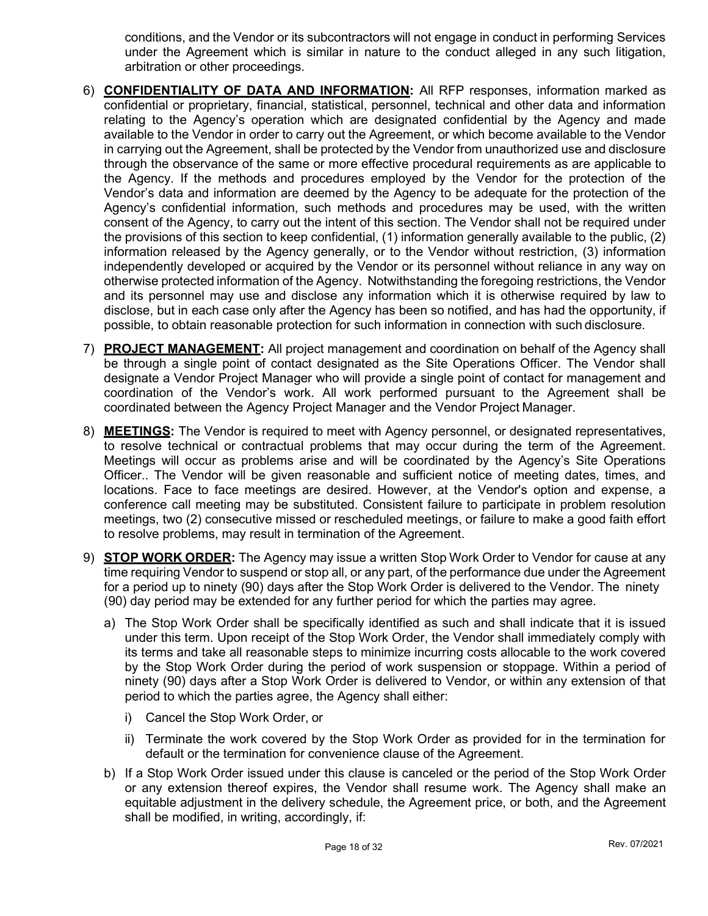conditions, and the Vendor or its subcontractors will not engage in conduct in performing Services under the Agreement which is similar in nature to the conduct alleged in any such litigation, arbitration or other proceedings.

- 6) CONFIDENTIALITY OF DATA AND INFORMATION: All RFP responses, information marked as confidential or proprietary, financial, statistical, personnel, technical and other data and information relating to the Agency's operation which are designated confidential by the Agency and made available to the Vendor in order to carry out the Agreement, or which become available to the Vendor in carrying out the Agreement, shall be protected by the Vendor from unauthorized use and disclosure through the observance of the same or more effective procedural requirements as are applicable to the Agency. If the methods and procedures employed by the Vendor for the protection of the Vendor's data and information are deemed by the Agency to be adequate for the protection of the Agency's confidential information, such methods and procedures may be used, with the written consent of the Agency, to carry out the intent of this section. The Vendor shall not be required under the provisions of this section to keep confidential, (1) information generally available to the public, (2) information released by the Agency generally, or to the Vendor without restriction, (3) information independently developed or acquired by the Vendor or its personnel without reliance in any way on otherwise protected information of the Agency. Notwithstanding the foregoing restrictions, the Vendor and its personnel may use and disclose any information which it is otherwise required by law to disclose, but in each case only after the Agency has been so notified, and has had the opportunity, if possible, to obtain reasonable protection for such information in connection with such disclosure.
- 7) PROJECT MANAGEMENT: All project management and coordination on behalf of the Agency shall be through a single point of contact designated as the Site Operations Officer. The Vendor shall designate a Vendor Project Manager who will provide a single point of contact for management and coordination of the Vendor's work. All work performed pursuant to the Agreement shall be coordinated between the Agency Project Manager and the Vendor Project Manager.
- 8) **MEETINGS:** The Vendor is required to meet with Agency personnel, or designated representatives, to resolve technical or contractual problems that may occur during the term of the Agreement. Meetings will occur as problems arise and will be coordinated by the Agency's Site Operations Officer.. The Vendor will be given reasonable and sufficient notice of meeting dates, times, and locations. Face to face meetings are desired. However, at the Vendor's option and expense, a conference call meeting may be substituted. Consistent failure to participate in problem resolution meetings, two (2) consecutive missed or rescheduled meetings, or failure to make a good faith effort to resolve problems, may result in termination of the Agreement.
- 9) **STOP WORK ORDER:** The Agency may issue a written Stop Work Order to Vendor for cause at any time requiring Vendor to suspend or stop all, or any part, of the performance due under the Agreement for a period up to ninety (90) days after the Stop Work Order is delivered to the Vendor. The ninety (90) day period may be extended for any further period for which the parties may agree.
	- a) The Stop Work Order shall be specifically identified as such and shall indicate that it is issued under this term. Upon receipt of the Stop Work Order, the Vendor shall immediately comply with its terms and take all reasonable steps to minimize incurring costs allocable to the work covered by the Stop Work Order during the period of work suspension or stoppage. Within a period of ninety (90) days after a Stop Work Order is delivered to Vendor, or within any extension of that period to which the parties agree, the Agency shall either:
		- i) Cancel the Stop Work Order, or
		- ii) Terminate the work covered by the Stop Work Order as provided for in the termination for default or the termination for convenience clause of the Agreement.
	- b) If a Stop Work Order issued under this clause is canceled or the period of the Stop Work Order or any extension thereof expires, the Vendor shall resume work. The Agency shall make an equitable adjustment in the delivery schedule, the Agreement price, or both, and the Agreement shall be modified, in writing, accordingly, if: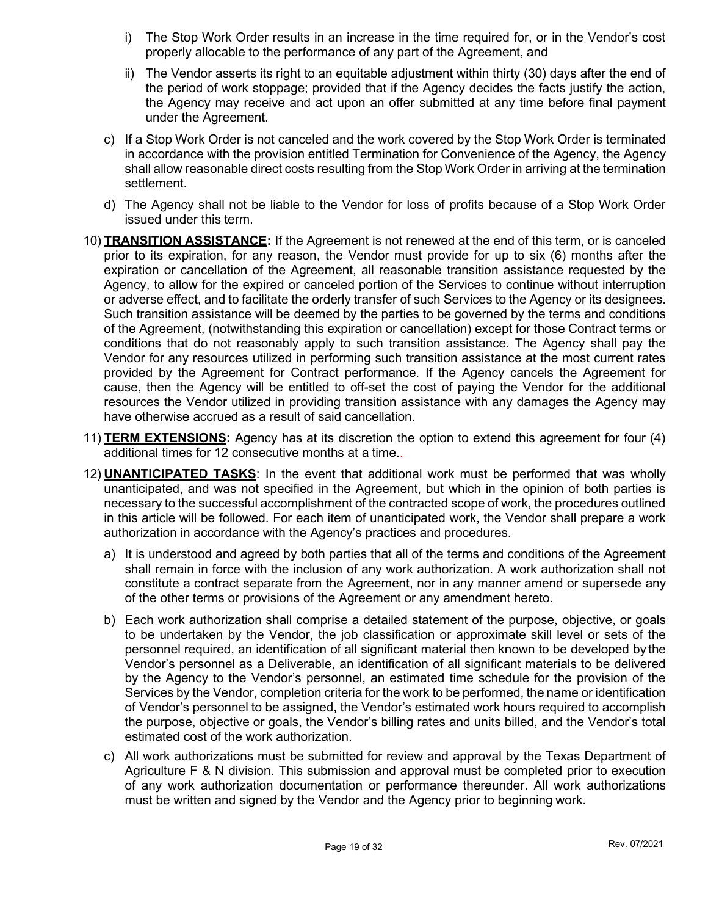- i) The Stop Work Order results in an increase in the time required for, or in the Vendor's cost properly allocable to the performance of any part of the Agreement, and
- ii) The Vendor asserts its right to an equitable adjustment within thirty (30) days after the end of the period of work stoppage; provided that if the Agency decides the facts justify the action, the Agency may receive and act upon an offer submitted at any time before final payment under the Agreement.
- c) If a Stop Work Order is not canceled and the work covered by the Stop Work Order is terminated in accordance with the provision entitled Termination for Convenience of the Agency, the Agency shall allow reasonable direct costs resulting from the Stop Work Order in arriving at the termination settlement.
- d) The Agency shall not be liable to the Vendor for loss of profits because of a Stop Work Order issued under this term.
- 10) **TRANSITION ASSISTANCE:** If the Agreement is not renewed at the end of this term, or is canceled prior to its expiration, for any reason, the Vendor must provide for up to six (6) months after the expiration or cancellation of the Agreement, all reasonable transition assistance requested by the Agency, to allow for the expired or canceled portion of the Services to continue without interruption or adverse effect, and to facilitate the orderly transfer of such Services to the Agency or its designees. Such transition assistance will be deemed by the parties to be governed by the terms and conditions of the Agreement, (notwithstanding this expiration or cancellation) except for those Contract terms or conditions that do not reasonably apply to such transition assistance. The Agency shall pay the Vendor for any resources utilized in performing such transition assistance at the most current rates provided by the Agreement for Contract performance. If the Agency cancels the Agreement for cause, then the Agency will be entitled to off-set the cost of paying the Vendor for the additional resources the Vendor utilized in providing transition assistance with any damages the Agency may have otherwise accrued as a result of said cancellation.
- 11) **TERM EXTENSIONS:** Agency has at its discretion the option to extend this agreement for four (4) additional times for 12 consecutive months at a time..
- 12) **UNANTICIPATED TASKS:** In the event that additional work must be performed that was wholly unanticipated, and was not specified in the Agreement, but which in the opinion of both parties is necessary to the successful accomplishment of the contracted scope of work, the procedures outlined in this article will be followed. For each item of unanticipated work, the Vendor shall prepare a work authorization in accordance with the Agency's practices and procedures.
	- a) It is understood and agreed by both parties that all of the terms and conditions of the Agreement shall remain in force with the inclusion of any work authorization. A work authorization shall not constitute a contract separate from the Agreement, nor in any manner amend or supersede any of the other terms or provisions of the Agreement or any amendment hereto.
	- b) Each work authorization shall comprise a detailed statement of the purpose, objective, or goals to be undertaken by the Vendor, the job classification or approximate skill level or sets of the personnel required, an identification of all significant material then known to be developed by the Vendor's personnel as a Deliverable, an identification of all significant materials to be delivered by the Agency to the Vendor's personnel, an estimated time schedule for the provision of the Services by the Vendor, completion criteria for the work to be performed, the name or identification of Vendor's personnel to be assigned, the Vendor's estimated work hours required to accomplish the purpose, objective or goals, the Vendor's billing rates and units billed, and the Vendor's total estimated cost of the work authorization.
	- c) All work authorizations must be submitted for review and approval by the Texas Department of Agriculture F & N division. This submission and approval must be completed prior to execution of any work authorization documentation or performance thereunder. All work authorizations must be written and signed by the Vendor and the Agency prior to beginning work.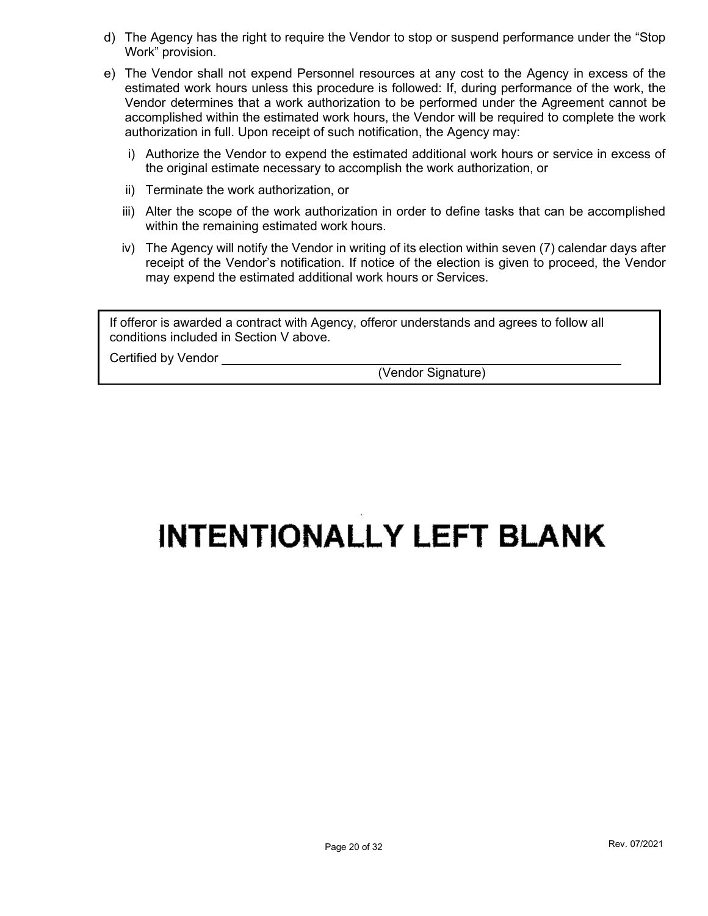- d) The Agency has the right to require the Vendor to stop or suspend performance under the "Stop Work" provision.
- e) The Vendor shall not expend Personnel resources at any cost to the Agency in excess of the estimated work hours unless this procedure is followed: If, during performance of the work, the Vendor determines that a work authorization to be performed under the Agreement cannot be accomplished within the estimated work hours, the Vendor will be required to complete the work authorization in full. Upon receipt of such notification, the Agency may:
	- i) Authorize the Vendor to expend the estimated additional work hours or service in excess of the original estimate necessary to accomplish the work authorization, or
	- ii) Terminate the work authorization, or
	- iii) Alter the scope of the work authorization in order to define tasks that can be accomplished within the remaining estimated work hours.
	- iv) The Agency will notify the Vendor in writing of its election within seven (7) calendar days after receipt of the Vendor's notification. If notice of the election is given to proceed, the Vendor may expend the estimated additional work hours or Services.

If offeror is awarded a contract with Agency, offeror understands and agrees to follow all conditions included in Section V above.

Certified by Vendor

(Vendor Signature)

# **INTENTIONALLY LEFT BLANK**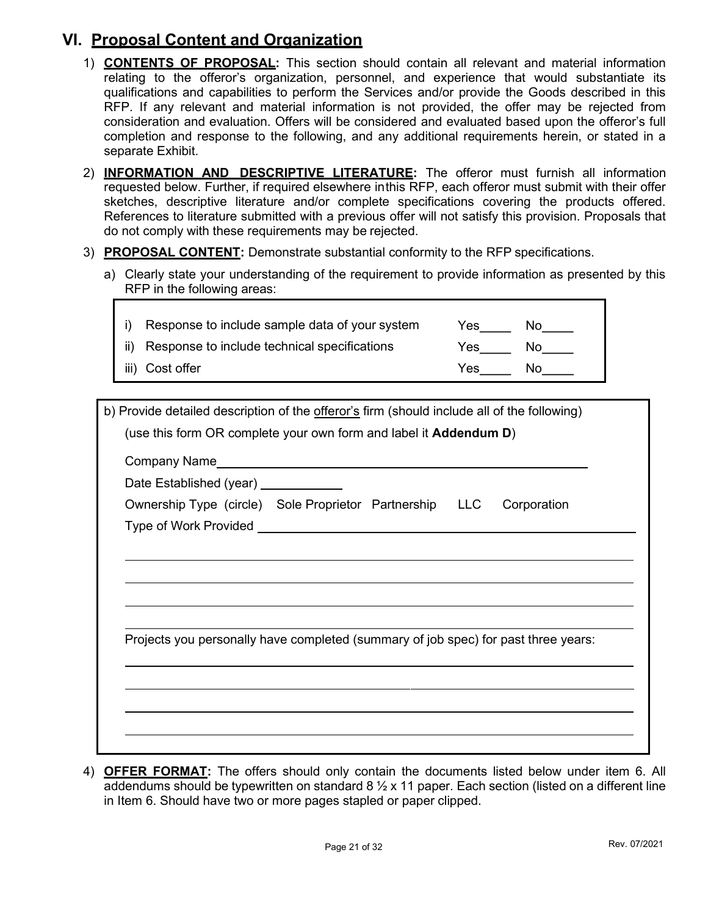# VI. Proposal Content and Organization

- 1) CONTENTS OF PROPOSAL: This section should contain all relevant and material information relating to the offeror's organization, personnel, and experience that would substantiate its qualifications and capabilities to perform the Services and/or provide the Goods described in this RFP. If any relevant and material information is not provided, the offer may be rejected from consideration and evaluation. Offers will be considered and evaluated based upon the offeror's full completion and response to the following, and any additional requirements herein, or stated in a separate Exhibit.
- 2) **INFORMATION AND DESCRIPTIVE LITERATURE:** The offeror must furnish all information requested below. Further, if required elsewhere in this RFP, each offeror must submit with their offer sketches, descriptive literature and/or complete specifications covering the products offered. References to literature submitted with a previous offer will not satisfy this provision. Proposals that do not comply with these requirements may be rejected.
- 3) PROPOSAL CONTENT: Demonstrate substantial conformity to the RFP specifications.
	- a) Clearly state your understanding of the requirement to provide information as presented by this RFP in the following areas:

| i) Response to include sample data of your system | Yes. | Nο |
|---------------------------------------------------|------|----|
| ii) Response to include technical specifications  | Yes  | NΩ |
| iii) Cost offer                                   | Yes. | N٥ |

| b) Provide detailed description of the offeror's firm (should include all of the following)                    |
|----------------------------------------------------------------------------------------------------------------|
| (use this form OR complete your own form and label it <b>Addendum D)</b>                                       |
| Company Name experience and the company Name experience of the contract of the contract of the contract of the |
| Date Established (year) ___________                                                                            |
| Ownership Type (circle) Sole Proprietor Partnership LLC<br>Corporation                                         |
|                                                                                                                |
|                                                                                                                |
|                                                                                                                |
|                                                                                                                |
|                                                                                                                |
| Projects you personally have completed (summary of job spec) for past three years:                             |
|                                                                                                                |
|                                                                                                                |
|                                                                                                                |
|                                                                                                                |
|                                                                                                                |

4) **OFFER FORMAT:** The offers should only contain the documents listed below under item 6. All addendums should be typewritten on standard 8  $\frac{1}{2}$  x 11 paper. Each section (listed on a different line in Item 6. Should have two or more pages stapled or paper clipped.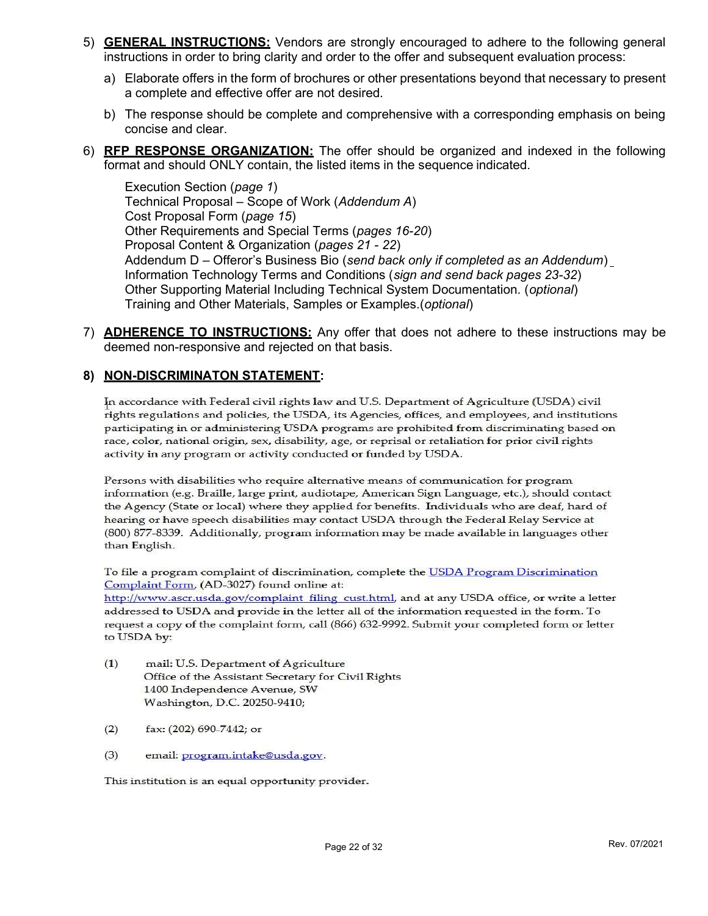- 5) **GENERAL INSTRUCTIONS:** Vendors are strongly encouraged to adhere to the following general instructions in order to bring clarity and order to the offer and subsequent evaluation process:
	- a) Elaborate offers in the form of brochures or other presentations beyond that necessary to present a complete and effective offer are not desired.
	- b) The response should be complete and comprehensive with a corresponding emphasis on being concise and clear.
- 6) **RFP RESPONSE ORGANIZATION:** The offer should be organized and indexed in the following format and should ONLY contain, the listed items in the sequence indicated.

Execution Section (page 1) Technical Proposal – Scope of Work (Addendum A) Cost Proposal Form (page 15) Other Requirements and Special Terms (pages 16-20) Proposal Content & Organization (pages 21 - 22) Addendum D – Offeror's Business Bio (send back only if completed as an Addendum) Information Technology Terms and Conditions (sign and send back pages 23-32) Other Supporting Material Including Technical System Documentation. (optional) Training and Other Materials, Samples or Examples.(optional)

7) ADHERENCE TO INSTRUCTIONS: Any offer that does not adhere to these instructions may be deemed non-responsive and rejected on that basis.

#### 8) NON-DISCRIMINATON STATEMENT:

In accordance with Federal civil rights law and U.S. Department of Agriculture (USDA) civil rights regulations and policies, the USDA, its Agencies, offices, and employees, and institutions participating in or administering USDA programs are prohibited from discriminating based on race, color, national origin, sex, disability, age, or reprisal or retaliation for prior civil rights activity in any program or activity conducted or funded by USDA.

Persons with disabilities who require alternative means of communication for program information (e.g. Braille, large print, audiotape, American Sign Language, etc.), should contact the Agency (State or local) where they applied for benefits. Individuals who are deaf, hard of hearing or have speech disabilities may contact USDA through the Federal Relay Service at (800) 877-8339. Additionally, program information may be made available in languages other than English.

To file a program complaint of discrimination, complete the USDA Program Discrimination Complaint Form, (AD-3027) found online at:

http://www.ascr.usda.gov/complaint filing cust.html, and at any USDA office, or write a letter addressed to USDA and provide in the letter all of the information requested in the form. To request a copy of the complaint form, call (866) 632-9992. Submit your completed form or letter to USDA by:

- $(1)$ mail: U.S. Department of Agriculture Office of the Assistant Secretary for Civil Rights 1400 Independence Avenue, SW Washington, D.C. 20250-9410;
- $(2)$ fax: (202) 690-7442; or
- $(3)$ email: program.intake@usda.gov.

This institution is an equal opportunity provider.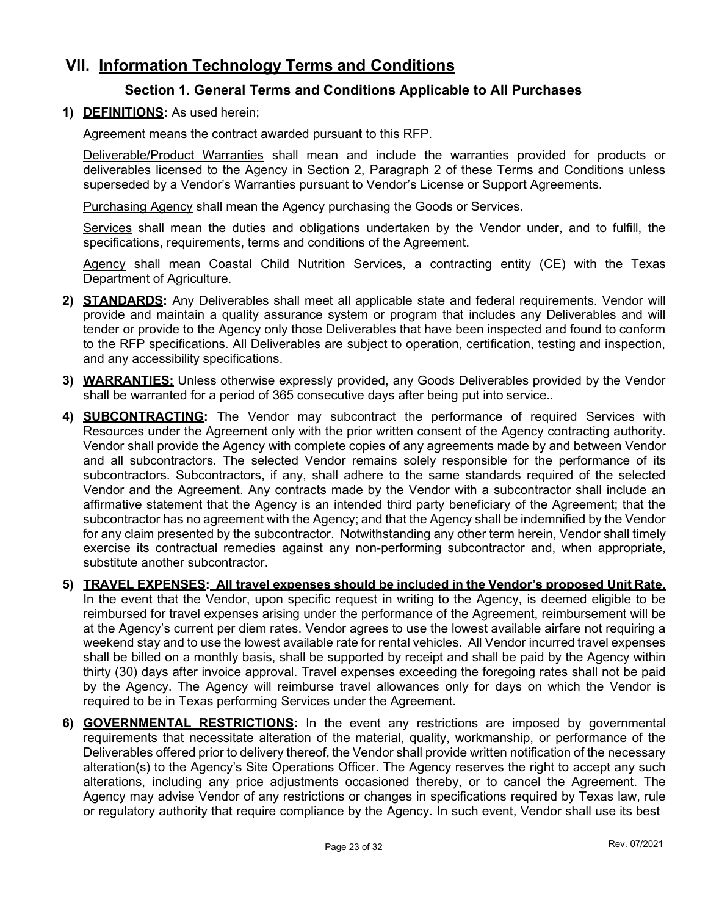# VII. Information Technology Terms and Conditions

## Section 1. General Terms and Conditions Applicable to All Purchases

1) DEFINITIONS: As used herein;

Agreement means the contract awarded pursuant to this RFP.

Deliverable/Product Warranties shall mean and include the warranties provided for products or deliverables licensed to the Agency in Section 2, Paragraph 2 of these Terms and Conditions unless superseded by a Vendor's Warranties pursuant to Vendor's License or Support Agreements.

Purchasing Agency shall mean the Agency purchasing the Goods or Services.

Services shall mean the duties and obligations undertaken by the Vendor under, and to fulfill, the specifications, requirements, terms and conditions of the Agreement.

Agency shall mean Coastal Child Nutrition Services, a contracting entity (CE) with the Texas Department of Agriculture.

- 2) **STANDARDS:** Any Deliverables shall meet all applicable state and federal requirements. Vendor will provide and maintain a quality assurance system or program that includes any Deliverables and will tender or provide to the Agency only those Deliverables that have been inspected and found to conform to the RFP specifications. All Deliverables are subject to operation, certification, testing and inspection, and any accessibility specifications.
- 3) **WARRANTIES:** Unless otherwise expressly provided, any Goods Deliverables provided by the Vendor shall be warranted for a period of 365 consecutive days after being put into service..
- 4) **SUBCONTRACTING:** The Vendor may subcontract the performance of required Services with Resources under the Agreement only with the prior written consent of the Agency contracting authority. Vendor shall provide the Agency with complete copies of any agreements made by and between Vendor and all subcontractors. The selected Vendor remains solely responsible for the performance of its subcontractors. Subcontractors, if any, shall adhere to the same standards required of the selected Vendor and the Agreement. Any contracts made by the Vendor with a subcontractor shall include an affirmative statement that the Agency is an intended third party beneficiary of the Agreement; that the subcontractor has no agreement with the Agency; and that the Agency shall be indemnified by the Vendor for any claim presented by the subcontractor. Notwithstanding any other term herein, Vendor shall timely exercise its contractual remedies against any non-performing subcontractor and, when appropriate, substitute another subcontractor.
- 5) TRAVEL EXPENSES: All travel expenses should be included in the Vendor's proposed Unit Rate. In the event that the Vendor, upon specific request in writing to the Agency, is deemed eligible to be reimbursed for travel expenses arising under the performance of the Agreement, reimbursement will be at the Agency's current per diem rates. Vendor agrees to use the lowest available airfare not requiring a weekend stay and to use the lowest available rate for rental vehicles. All Vendor incurred travel expenses shall be billed on a monthly basis, shall be supported by receipt and shall be paid by the Agency within thirty (30) days after invoice approval. Travel expenses exceeding the foregoing rates shall not be paid by the Agency. The Agency will reimburse travel allowances only for days on which the Vendor is required to be in Texas performing Services under the Agreement.
- 6) **GOVERNMENTAL RESTRICTIONS:** In the event any restrictions are imposed by governmental requirements that necessitate alteration of the material, quality, workmanship, or performance of the Deliverables offered prior to delivery thereof, the Vendor shall provide written notification of the necessary alteration(s) to the Agency's Site Operations Officer. The Agency reserves the right to accept any such alterations, including any price adjustments occasioned thereby, or to cancel the Agreement. The Agency may advise Vendor of any restrictions or changes in specifications required by Texas law, rule or regulatory authority that require compliance by the Agency. In such event, Vendor shall use its best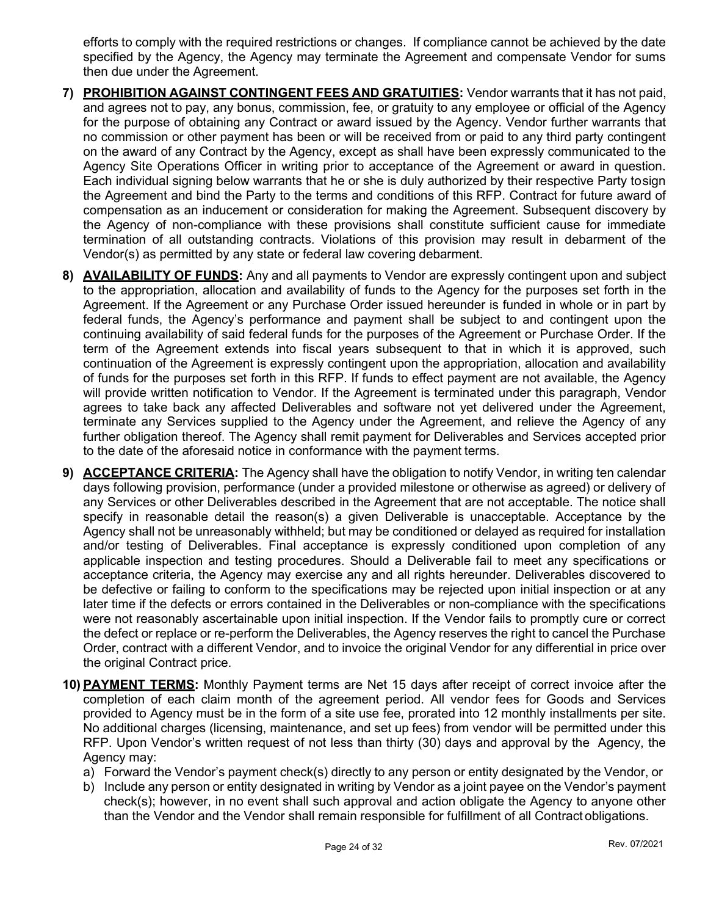efforts to comply with the required restrictions or changes. If compliance cannot be achieved by the date specified by the Agency, the Agency may terminate the Agreement and compensate Vendor for sums then due under the Agreement.

- 7) PROHIBITION AGAINST CONTINGENT FEES AND GRATUITIES: Vendor warrants that it has not paid, and agrees not to pay, any bonus, commission, fee, or gratuity to any employee or official of the Agency for the purpose of obtaining any Contract or award issued by the Agency. Vendor further warrants that no commission or other payment has been or will be received from or paid to any third party contingent on the award of any Contract by the Agency, except as shall have been expressly communicated to the Agency Site Operations Officer in writing prior to acceptance of the Agreement or award in question. Each individual signing below warrants that he or she is duly authorized by their respective Party to sign the Agreement and bind the Party to the terms and conditions of this RFP. Contract for future award of compensation as an inducement or consideration for making the Agreement. Subsequent discovery by the Agency of non-compliance with these provisions shall constitute sufficient cause for immediate termination of all outstanding contracts. Violations of this provision may result in debarment of the Vendor(s) as permitted by any state or federal law covering debarment.
- 8) **AVAILABILITY OF FUNDS:** Any and all payments to Vendor are expressly contingent upon and subject to the appropriation, allocation and availability of funds to the Agency for the purposes set forth in the Agreement. If the Agreement or any Purchase Order issued hereunder is funded in whole or in part by federal funds, the Agency's performance and payment shall be subject to and contingent upon the continuing availability of said federal funds for the purposes of the Agreement or Purchase Order. If the term of the Agreement extends into fiscal years subsequent to that in which it is approved, such continuation of the Agreement is expressly contingent upon the appropriation, allocation and availability of funds for the purposes set forth in this RFP. If funds to effect payment are not available, the Agency will provide written notification to Vendor. If the Agreement is terminated under this paragraph, Vendor agrees to take back any affected Deliverables and software not yet delivered under the Agreement, terminate any Services supplied to the Agency under the Agreement, and relieve the Agency of any further obligation thereof. The Agency shall remit payment for Deliverables and Services accepted prior to the date of the aforesaid notice in conformance with the payment terms.
- 9) ACCEPTANCE CRITERIA: The Agency shall have the obligation to notify Vendor, in writing ten calendar days following provision, performance (under a provided milestone or otherwise as agreed) or delivery of any Services or other Deliverables described in the Agreement that are not acceptable. The notice shall specify in reasonable detail the reason(s) a given Deliverable is unacceptable. Acceptance by the Agency shall not be unreasonably withheld; but may be conditioned or delayed as required for installation and/or testing of Deliverables. Final acceptance is expressly conditioned upon completion of any applicable inspection and testing procedures. Should a Deliverable fail to meet any specifications or acceptance criteria, the Agency may exercise any and all rights hereunder. Deliverables discovered to be defective or failing to conform to the specifications may be rejected upon initial inspection or at any later time if the defects or errors contained in the Deliverables or non-compliance with the specifications were not reasonably ascertainable upon initial inspection. If the Vendor fails to promptly cure or correct the defect or replace or re-perform the Deliverables, the Agency reserves the right to cancel the Purchase Order, contract with a different Vendor, and to invoice the original Vendor for any differential in price over the original Contract price.
- 10) **PAYMENT TERMS:** Monthly Payment terms are Net 15 days after receipt of correct invoice after the completion of each claim month of the agreement period. All vendor fees for Goods and Services provided to Agency must be in the form of a site use fee, prorated into 12 monthly installments per site. No additional charges (licensing, maintenance, and set up fees) from vendor will be permitted under this RFP. Upon Vendor's written request of not less than thirty (30) days and approval by the Agency, the Agency may:
	- a) Forward the Vendor's payment check(s) directly to any person or entity designated by the Vendor, or
	- b) Include any person or entity designated in writing by Vendor as a joint payee on the Vendor's payment check(s); however, in no event shall such approval and action obligate the Agency to anyone other than the Vendor and the Vendor shall remain responsible for fulfillment of all Contract obligations.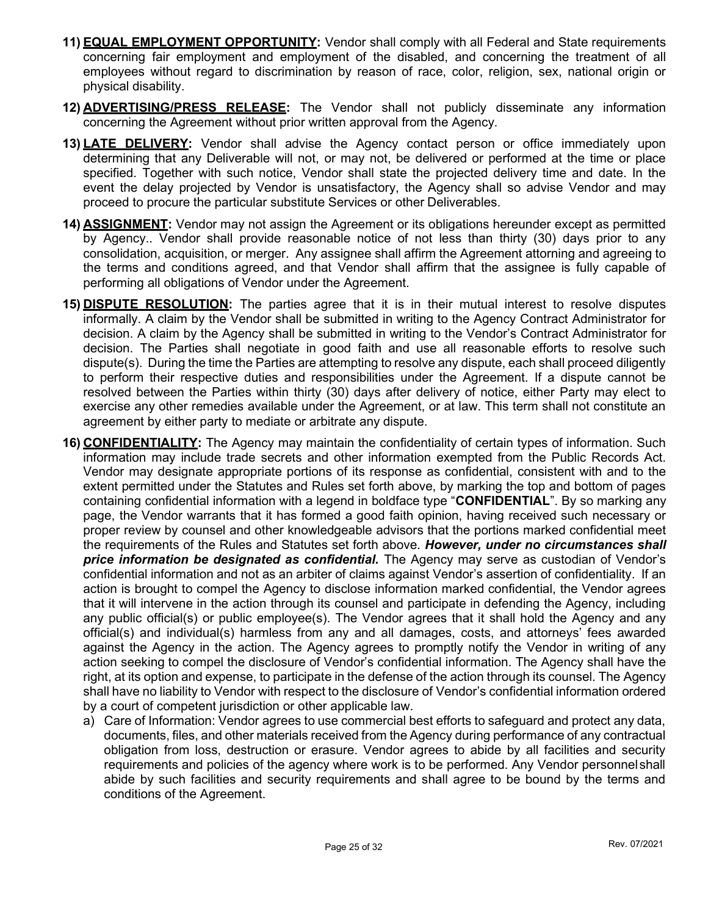- 11) **EQUAL EMPLOYMENT OPPORTUNITY:** Vendor shall comply with all Federal and State requirements concerning fair employment and employment of the disabled, and concerning the treatment of all employees without regard to discrimination by reason of race, color, religion, sex, national origin or physical disability.
- 12) **ADVERTISING/PRESS RELEASE:** The Vendor shall not publicly disseminate any information concerning the Agreement without prior written approval from the Agency.
- 13) LATE DELIVERY: Vendor shall advise the Agency contact person or office immediately upon determining that any Deliverable will not, or may not, be delivered or performed at the time or place specified. Together with such notice, Vendor shall state the projected delivery time and date. In the event the delay projected by Vendor is unsatisfactory, the Agency shall so advise Vendor and may proceed to procure the particular substitute Services or other Deliverables.
- 14) **ASSIGNMENT:** Vendor may not assign the Agreement or its obligations hereunder except as permitted by Agency.. Vendor shall provide reasonable notice of not less than thirty (30) days prior to any consolidation, acquisition, or merger. Any assignee shall affirm the Agreement attorning and agreeing to the terms and conditions agreed, and that Vendor shall affirm that the assignee is fully capable of performing all obligations of Vendor under the Agreement.
- 15) DISPUTE RESOLUTION: The parties agree that it is in their mutual interest to resolve disputes informally. A claim by the Vendor shall be submitted in writing to the Agency Contract Administrator for decision. A claim by the Agency shall be submitted in writing to the Vendor's Contract Administrator for decision. The Parties shall negotiate in good faith and use all reasonable efforts to resolve such dispute(s). During the time the Parties are attempting to resolve any dispute, each shall proceed diligently to perform their respective duties and responsibilities under the Agreement. If a dispute cannot be resolved between the Parties within thirty (30) days after delivery of notice, either Party may elect to exercise any other remedies available under the Agreement, or at law. This term shall not constitute an agreement by either party to mediate or arbitrate any dispute.
- 16) CONFIDENTIALITY: The Agency may maintain the confidentiality of certain types of information. Such information may include trade secrets and other information exempted from the Public Records Act. Vendor may designate appropriate portions of its response as confidential, consistent with and to the extent permitted under the Statutes and Rules set forth above, by marking the top and bottom of pages containing confidential information with a legend in boldface type "CONFIDENTIAL". By so marking any page, the Vendor warrants that it has formed a good faith opinion, having received such necessary or proper review by counsel and other knowledgeable advisors that the portions marked confidential meet the requirements of the Rules and Statutes set forth above. However, under no circumstances shall price information be designated as confidential. The Agency may serve as custodian of Vendor's confidential information and not as an arbiter of claims against Vendor's assertion of confidentiality. If an action is brought to compel the Agency to disclose information marked confidential, the Vendor agrees that it will intervene in the action through its counsel and participate in defending the Agency, including any public official(s) or public employee(s). The Vendor agrees that it shall hold the Agency and any official(s) and individual(s) harmless from any and all damages, costs, and attorneys' fees awarded against the Agency in the action. The Agency agrees to promptly notify the Vendor in writing of any action seeking to compel the disclosure of Vendor's confidential information. The Agency shall have the right, at its option and expense, to participate in the defense of the action through its counsel. The Agency shall have no liability to Vendor with respect to the disclosure of Vendor's confidential information ordered by a court of competent jurisdiction or other applicable law.
	- a) Care of Information: Vendor agrees to use commercial best efforts to safeguard and protect any data, documents, files, and other materials received from the Agency during performance of any contractual obligation from loss, destruction or erasure. Vendor agrees to abide by all facilities and security requirements and policies of the agency where work is to be performed. Any Vendor personnel shall abide by such facilities and security requirements and shall agree to be bound by the terms and conditions of the Agreement.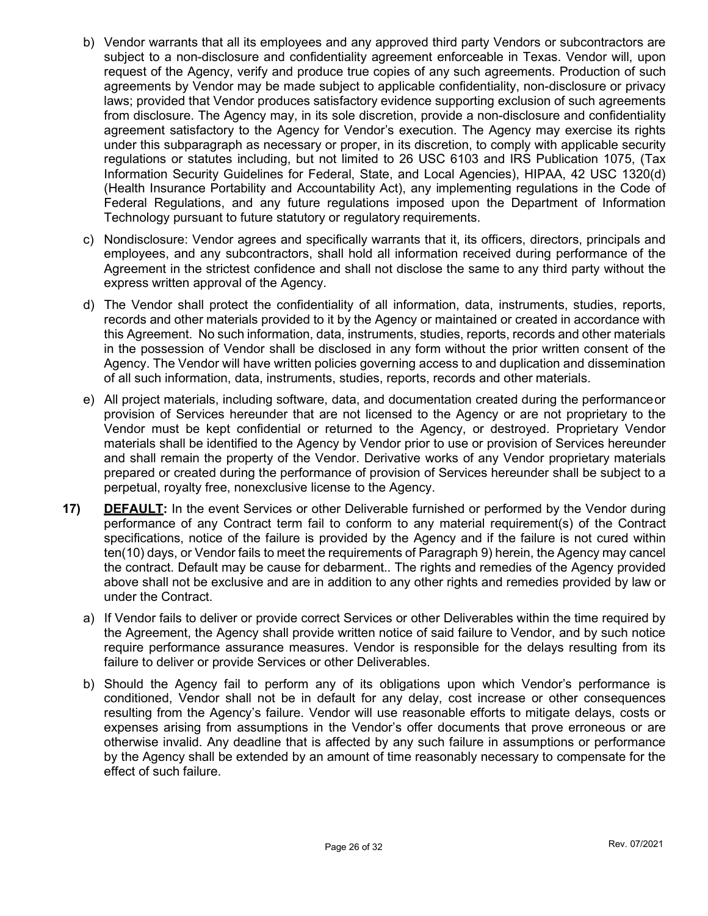- b) Vendor warrants that all its employees and any approved third party Vendors or subcontractors are subject to a non-disclosure and confidentiality agreement enforceable in Texas. Vendor will, upon request of the Agency, verify and produce true copies of any such agreements. Production of such agreements by Vendor may be made subject to applicable confidentiality, non-disclosure or privacy laws; provided that Vendor produces satisfactory evidence supporting exclusion of such agreements from disclosure. The Agency may, in its sole discretion, provide a non-disclosure and confidentiality agreement satisfactory to the Agency for Vendor's execution. The Agency may exercise its rights under this subparagraph as necessary or proper, in its discretion, to comply with applicable security regulations or statutes including, but not limited to 26 USC 6103 and IRS Publication 1075, (Tax Information Security Guidelines for Federal, State, and Local Agencies), HIPAA, 42 USC 1320(d) (Health Insurance Portability and Accountability Act), any implementing regulations in the Code of Federal Regulations, and any future regulations imposed upon the Department of Information Technology pursuant to future statutory or regulatory requirements.
- c) Nondisclosure: Vendor agrees and specifically warrants that it, its officers, directors, principals and employees, and any subcontractors, shall hold all information received during performance of the Agreement in the strictest confidence and shall not disclose the same to any third party without the express written approval of the Agency.
- d) The Vendor shall protect the confidentiality of all information, data, instruments, studies, reports, records and other materials provided to it by the Agency or maintained or created in accordance with this Agreement. No such information, data, instruments, studies, reports, records and other materials in the possession of Vendor shall be disclosed in any form without the prior written consent of the Agency. The Vendor will have written policies governing access to and duplication and dissemination of all such information, data, instruments, studies, reports, records and other materials.
- e) All project materials, including software, data, and documentation created during the performance or provision of Services hereunder that are not licensed to the Agency or are not proprietary to the Vendor must be kept confidential or returned to the Agency, or destroyed. Proprietary Vendor materials shall be identified to the Agency by Vendor prior to use or provision of Services hereunder and shall remain the property of the Vendor. Derivative works of any Vendor proprietary materials prepared or created during the performance of provision of Services hereunder shall be subject to a perpetual, royalty free, nonexclusive license to the Agency.
- 17) DEFAULT: In the event Services or other Deliverable furnished or performed by the Vendor during performance of any Contract term fail to conform to any material requirement(s) of the Contract specifications, notice of the failure is provided by the Agency and if the failure is not cured within ten(10) days, or Vendor fails to meet the requirements of Paragraph 9) herein, the Agency may cancel the contract. Default may be cause for debarment.. The rights and remedies of the Agency provided above shall not be exclusive and are in addition to any other rights and remedies provided by law or under the Contract.
	- a) If Vendor fails to deliver or provide correct Services or other Deliverables within the time required by the Agreement, the Agency shall provide written notice of said failure to Vendor, and by such notice require performance assurance measures. Vendor is responsible for the delays resulting from its failure to deliver or provide Services or other Deliverables.
	- b) Should the Agency fail to perform any of its obligations upon which Vendor's performance is conditioned, Vendor shall not be in default for any delay, cost increase or other consequences resulting from the Agency's failure. Vendor will use reasonable efforts to mitigate delays, costs or expenses arising from assumptions in the Vendor's offer documents that prove erroneous or are otherwise invalid. Any deadline that is affected by any such failure in assumptions or performance by the Agency shall be extended by an amount of time reasonably necessary to compensate for the effect of such failure.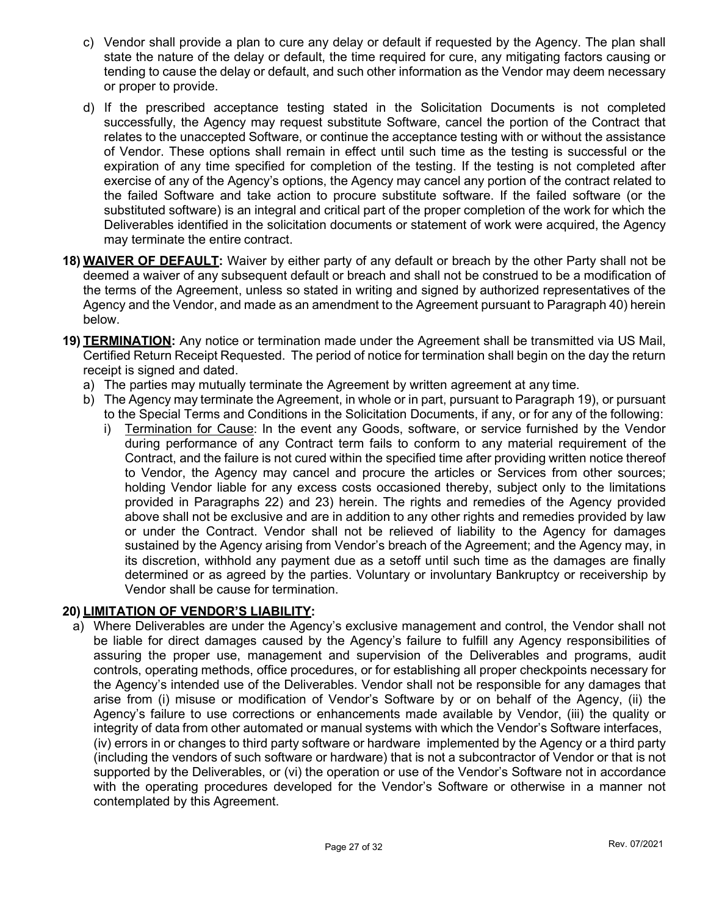- c) Vendor shall provide a plan to cure any delay or default if requested by the Agency. The plan shall state the nature of the delay or default, the time required for cure, any mitigating factors causing or tending to cause the delay or default, and such other information as the Vendor may deem necessary or proper to provide.
- d) If the prescribed acceptance testing stated in the Solicitation Documents is not completed successfully, the Agency may request substitute Software, cancel the portion of the Contract that relates to the unaccepted Software, or continue the acceptance testing with or without the assistance of Vendor. These options shall remain in effect until such time as the testing is successful or the expiration of any time specified for completion of the testing. If the testing is not completed after exercise of any of the Agency's options, the Agency may cancel any portion of the contract related to the failed Software and take action to procure substitute software. If the failed software (or the substituted software) is an integral and critical part of the proper completion of the work for which the Deliverables identified in the solicitation documents or statement of work were acquired, the Agency may terminate the entire contract.
- 18) WAIVER OF DEFAULT: Waiver by either party of any default or breach by the other Party shall not be deemed a waiver of any subsequent default or breach and shall not be construed to be a modification of the terms of the Agreement, unless so stated in writing and signed by authorized representatives of the Agency and the Vendor, and made as an amendment to the Agreement pursuant to Paragraph 40) herein below.
- 19) TERMINATION: Any notice or termination made under the Agreement shall be transmitted via US Mail, Certified Return Receipt Requested. The period of notice for termination shall begin on the day the return receipt is signed and dated.
	- a) The parties may mutually terminate the Agreement by written agreement at any time.
	- b) The Agency may terminate the Agreement, in whole or in part, pursuant to Paragraph 19), or pursuant to the Special Terms and Conditions in the Solicitation Documents, if any, or for any of the following:
		- i) Termination for Cause: In the event any Goods, software, or service furnished by the Vendor during performance of any Contract term fails to conform to any material requirement of the Contract, and the failure is not cured within the specified time after providing written notice thereof to Vendor, the Agency may cancel and procure the articles or Services from other sources; holding Vendor liable for any excess costs occasioned thereby, subject only to the limitations provided in Paragraphs 22) and 23) herein. The rights and remedies of the Agency provided above shall not be exclusive and are in addition to any other rights and remedies provided by law or under the Contract. Vendor shall not be relieved of liability to the Agency for damages sustained by the Agency arising from Vendor's breach of the Agreement; and the Agency may, in its discretion, withhold any payment due as a setoff until such time as the damages are finally determined or as agreed by the parties. Voluntary or involuntary Bankruptcy or receivership by Vendor shall be cause for termination.

## 20) LIMITATION OF VENDOR'S LIABILITY:

a) Where Deliverables are under the Agency's exclusive management and control, the Vendor shall not be liable for direct damages caused by the Agency's failure to fulfill any Agency responsibilities of assuring the proper use, management and supervision of the Deliverables and programs, audit controls, operating methods, office procedures, or for establishing all proper checkpoints necessary for the Agency's intended use of the Deliverables. Vendor shall not be responsible for any damages that arise from (i) misuse or modification of Vendor's Software by or on behalf of the Agency, (ii) the Agency's failure to use corrections or enhancements made available by Vendor, (iii) the quality or integrity of data from other automated or manual systems with which the Vendor's Software interfaces, (iv) errors in or changes to third party software or hardware implemented by the Agency or a third party (including the vendors of such software or hardware) that is not a subcontractor of Vendor or that is not supported by the Deliverables, or (vi) the operation or use of the Vendor's Software not in accordance with the operating procedures developed for the Vendor's Software or otherwise in a manner not contemplated by this Agreement.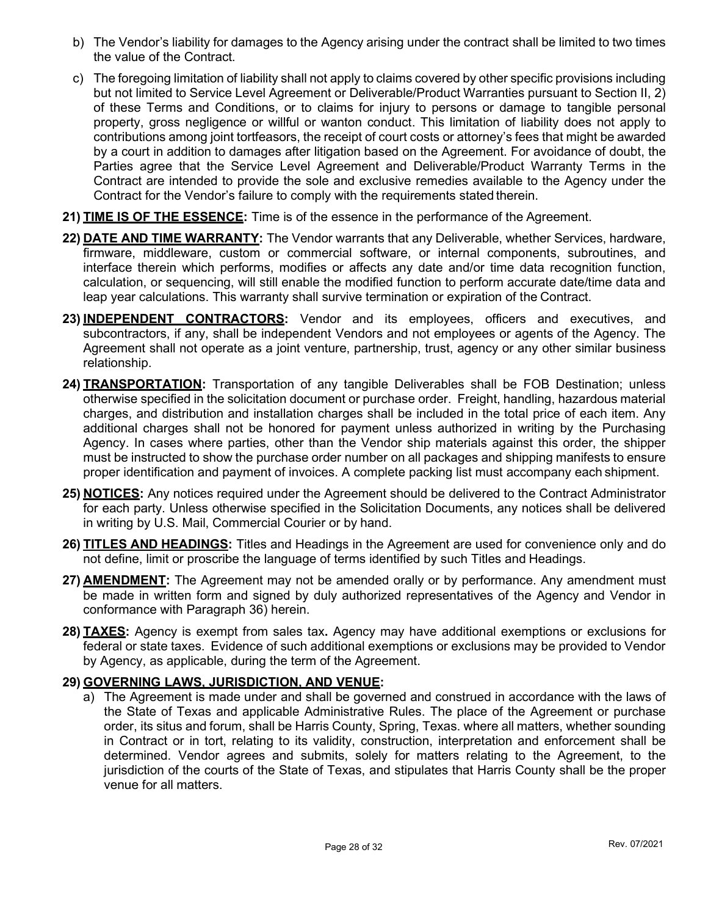- b) The Vendor's liability for damages to the Agency arising under the contract shall be limited to two times the value of the Contract.
- c) The foregoing limitation of liability shall not apply to claims covered by other specific provisions including but not limited to Service Level Agreement or Deliverable/Product Warranties pursuant to Section II, 2) of these Terms and Conditions, or to claims for injury to persons or damage to tangible personal property, gross negligence or willful or wanton conduct. This limitation of liability does not apply to contributions among joint tortfeasors, the receipt of court costs or attorney's fees that might be awarded by a court in addition to damages after litigation based on the Agreement. For avoidance of doubt, the Parties agree that the Service Level Agreement and Deliverable/Product Warranty Terms in the Contract are intended to provide the sole and exclusive remedies available to the Agency under the Contract for the Vendor's failure to comply with the requirements stated therein.
- 21) TIME IS OF THE ESSENCE: Time is of the essence in the performance of the Agreement.
- 22) DATE AND TIME WARRANTY: The Vendor warrants that any Deliverable, whether Services, hardware, firmware, middleware, custom or commercial software, or internal components, subroutines, and interface therein which performs, modifies or affects any date and/or time data recognition function, calculation, or sequencing, will still enable the modified function to perform accurate date/time data and leap year calculations. This warranty shall survive termination or expiration of the Contract.
- 23) INDEPENDENT CONTRACTORS: Vendor and its employees, officers and executives, and subcontractors, if any, shall be independent Vendors and not employees or agents of the Agency. The Agreement shall not operate as a joint venture, partnership, trust, agency or any other similar business relationship.
- 24) **TRANSPORTATION:** Transportation of any tangible Deliverables shall be FOB Destination; unless otherwise specified in the solicitation document or purchase order. Freight, handling, hazardous material charges, and distribution and installation charges shall be included in the total price of each item. Any additional charges shall not be honored for payment unless authorized in writing by the Purchasing Agency. In cases where parties, other than the Vendor ship materials against this order, the shipper must be instructed to show the purchase order number on all packages and shipping manifests to ensure proper identification and payment of invoices. A complete packing list must accompany each shipment.
- 25) NOTICES: Any notices required under the Agreement should be delivered to the Contract Administrator for each party. Unless otherwise specified in the Solicitation Documents, any notices shall be delivered in writing by U.S. Mail, Commercial Courier or by hand.
- 26) **TITLES AND HEADINGS:** Titles and Headings in the Agreement are used for convenience only and do not define, limit or proscribe the language of terms identified by such Titles and Headings.
- 27) **AMENDMENT:** The Agreement may not be amended orally or by performance. Any amendment must be made in written form and signed by duly authorized representatives of the Agency and Vendor in conformance with Paragraph 36) herein.
- 28) TAXES: Agency is exempt from sales tax. Agency may have additional exemptions or exclusions for federal or state taxes. Evidence of such additional exemptions or exclusions may be provided to Vendor by Agency, as applicable, during the term of the Agreement.

#### 29) GOVERNING LAWS, JURISDICTION, AND VENUE:

a) The Agreement is made under and shall be governed and construed in accordance with the laws of the State of Texas and applicable Administrative Rules. The place of the Agreement or purchase order, its situs and forum, shall be Harris County, Spring, Texas. where all matters, whether sounding in Contract or in tort, relating to its validity, construction, interpretation and enforcement shall be determined. Vendor agrees and submits, solely for matters relating to the Agreement, to the jurisdiction of the courts of the State of Texas, and stipulates that Harris County shall be the proper venue for all matters.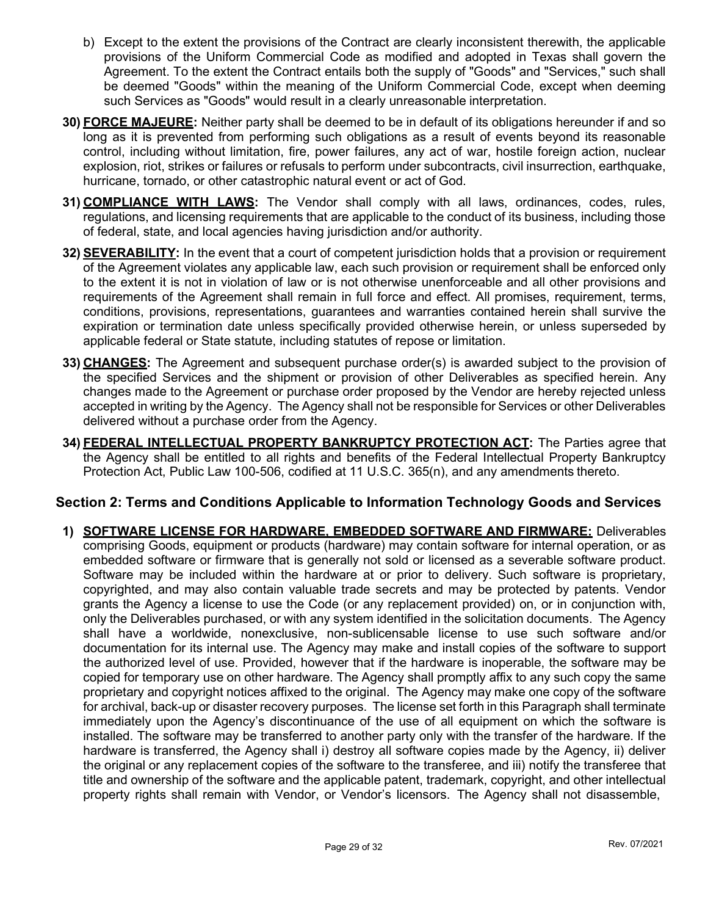- b) Except to the extent the provisions of the Contract are clearly inconsistent therewith, the applicable provisions of the Uniform Commercial Code as modified and adopted in Texas shall govern the Agreement. To the extent the Contract entails both the supply of "Goods" and "Services," such shall be deemed "Goods" within the meaning of the Uniform Commercial Code, except when deeming such Services as "Goods" would result in a clearly unreasonable interpretation.
- 30) FORCE MAJEURE: Neither party shall be deemed to be in default of its obligations hereunder if and so long as it is prevented from performing such obligations as a result of events beyond its reasonable control, including without limitation, fire, power failures, any act of war, hostile foreign action, nuclear explosion, riot, strikes or failures or refusals to perform under subcontracts, civil insurrection, earthquake, hurricane, tornado, or other catastrophic natural event or act of God.
- 31) COMPLIANCE WITH LAWS: The Vendor shall comply with all laws, ordinances, codes, rules, regulations, and licensing requirements that are applicable to the conduct of its business, including those of federal, state, and local agencies having jurisdiction and/or authority.
- 32) **SEVERABILITY:** In the event that a court of competent jurisdiction holds that a provision or requirement of the Agreement violates any applicable law, each such provision or requirement shall be enforced only to the extent it is not in violation of law or is not otherwise unenforceable and all other provisions and requirements of the Agreement shall remain in full force and effect. All promises, requirement, terms, conditions, provisions, representations, guarantees and warranties contained herein shall survive the expiration or termination date unless specifically provided otherwise herein, or unless superseded by applicable federal or State statute, including statutes of repose or limitation.
- 33) CHANGES: The Agreement and subsequent purchase order(s) is awarded subject to the provision of the specified Services and the shipment or provision of other Deliverables as specified herein. Any changes made to the Agreement or purchase order proposed by the Vendor are hereby rejected unless accepted in writing by the Agency. The Agency shall not be responsible for Services or other Deliverables delivered without a purchase order from the Agency.
- 34) FEDERAL INTELLECTUAL PROPERTY BANKRUPTCY PROTECTION ACT: The Parties agree that the Agency shall be entitled to all rights and benefits of the Federal Intellectual Property Bankruptcy Protection Act, Public Law 100-506, codified at 11 U.S.C. 365(n), and any amendments thereto.

## Section 2: Terms and Conditions Applicable to Information Technology Goods and Services

1) SOFTWARE LICENSE FOR HARDWARE, EMBEDDED SOFTWARE AND FIRMWARE: Deliverables comprising Goods, equipment or products (hardware) may contain software for internal operation, or as embedded software or firmware that is generally not sold or licensed as a severable software product. Software may be included within the hardware at or prior to delivery. Such software is proprietary, copyrighted, and may also contain valuable trade secrets and may be protected by patents. Vendor grants the Agency a license to use the Code (or any replacement provided) on, or in conjunction with, only the Deliverables purchased, or with any system identified in the solicitation documents. The Agency shall have a worldwide, nonexclusive, non-sublicensable license to use such software and/or documentation for its internal use. The Agency may make and install copies of the software to support the authorized level of use. Provided, however that if the hardware is inoperable, the software may be copied for temporary use on other hardware. The Agency shall promptly affix to any such copy the same proprietary and copyright notices affixed to the original. The Agency may make one copy of the software for archival, back-up or disaster recovery purposes. The license set forth in this Paragraph shall terminate immediately upon the Agency's discontinuance of the use of all equipment on which the software is installed. The software may be transferred to another party only with the transfer of the hardware. If the hardware is transferred, the Agency shall i) destroy all software copies made by the Agency, ii) deliver the original or any replacement copies of the software to the transferee, and iii) notify the transferee that title and ownership of the software and the applicable patent, trademark, copyright, and other intellectual property rights shall remain with Vendor, or Vendor's licensors. The Agency shall not disassemble,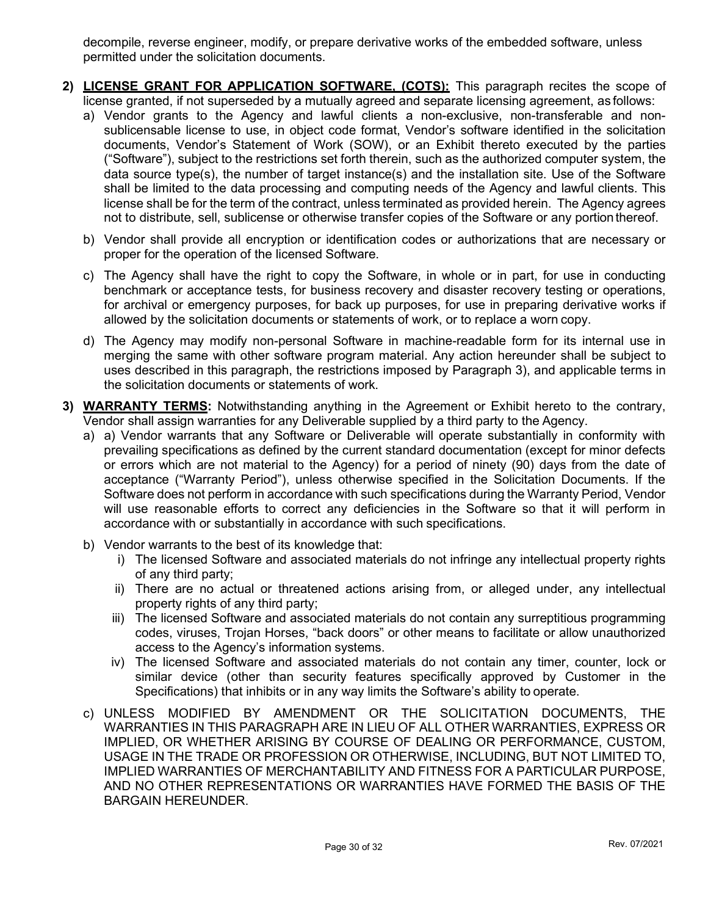decompile, reverse engineer, modify, or prepare derivative works of the embedded software, unless permitted under the solicitation documents.

- 2) LICENSE GRANT FOR APPLICATION SOFTWARE, (COTS): This paragraph recites the scope of license granted, if not superseded by a mutually agreed and separate licensing agreement, as follows:
	- a) Vendor grants to the Agency and lawful clients a non-exclusive, non-transferable and nonsublicensable license to use, in object code format, Vendor's software identified in the solicitation documents, Vendor's Statement of Work (SOW), or an Exhibit thereto executed by the parties ("Software"), subject to the restrictions set forth therein, such as the authorized computer system, the data source type(s), the number of target instance(s) and the installation site. Use of the Software shall be limited to the data processing and computing needs of the Agency and lawful clients. This license shall be for the term of the contract, unless terminated as provided herein. The Agency agrees not to distribute, sell, sublicense or otherwise transfer copies of the Software or any portion thereof.
	- b) Vendor shall provide all encryption or identification codes or authorizations that are necessary or proper for the operation of the licensed Software.
	- c) The Agency shall have the right to copy the Software, in whole or in part, for use in conducting benchmark or acceptance tests, for business recovery and disaster recovery testing or operations, for archival or emergency purposes, for back up purposes, for use in preparing derivative works if allowed by the solicitation documents or statements of work, or to replace a worn copy.
	- d) The Agency may modify non-personal Software in machine-readable form for its internal use in merging the same with other software program material. Any action hereunder shall be subject to uses described in this paragraph, the restrictions imposed by Paragraph 3), and applicable terms in the solicitation documents or statements of work.
- 3) **WARRANTY TERMS:** Notwithstanding anything in the Agreement or Exhibit hereto to the contrary, Vendor shall assign warranties for any Deliverable supplied by a third party to the Agency.
	- a) a) Vendor warrants that any Software or Deliverable will operate substantially in conformity with prevailing specifications as defined by the current standard documentation (except for minor defects or errors which are not material to the Agency) for a period of ninety (90) days from the date of acceptance ("Warranty Period"), unless otherwise specified in the Solicitation Documents. If the Software does not perform in accordance with such specifications during the Warranty Period, Vendor will use reasonable efforts to correct any deficiencies in the Software so that it will perform in accordance with or substantially in accordance with such specifications.
	- b) Vendor warrants to the best of its knowledge that:
		- i) The licensed Software and associated materials do not infringe any intellectual property rights of any third party;
		- ii) There are no actual or threatened actions arising from, or alleged under, any intellectual property rights of any third party;
		- iii) The licensed Software and associated materials do not contain any surreptitious programming codes, viruses, Trojan Horses, "back doors" or other means to facilitate or allow unauthorized access to the Agency's information systems.
		- iv) The licensed Software and associated materials do not contain any timer, counter, lock or similar device (other than security features specifically approved by Customer in the Specifications) that inhibits or in any way limits the Software's ability to operate.
	- c) UNLESS MODIFIED BY AMENDMENT OR THE SOLICITATION DOCUMENTS, THE WARRANTIES IN THIS PARAGRAPH ARE IN LIEU OF ALL OTHER WARRANTIES, EXPRESS OR IMPLIED, OR WHETHER ARISING BY COURSE OF DEALING OR PERFORMANCE, CUSTOM, USAGE IN THE TRADE OR PROFESSION OR OTHERWISE, INCLUDING, BUT NOT LIMITED TO, IMPLIED WARRANTIES OF MERCHANTABILITY AND FITNESS FOR A PARTICULAR PURPOSE, AND NO OTHER REPRESENTATIONS OR WARRANTIES HAVE FORMED THE BASIS OF THE BARGAIN HEREUNDER.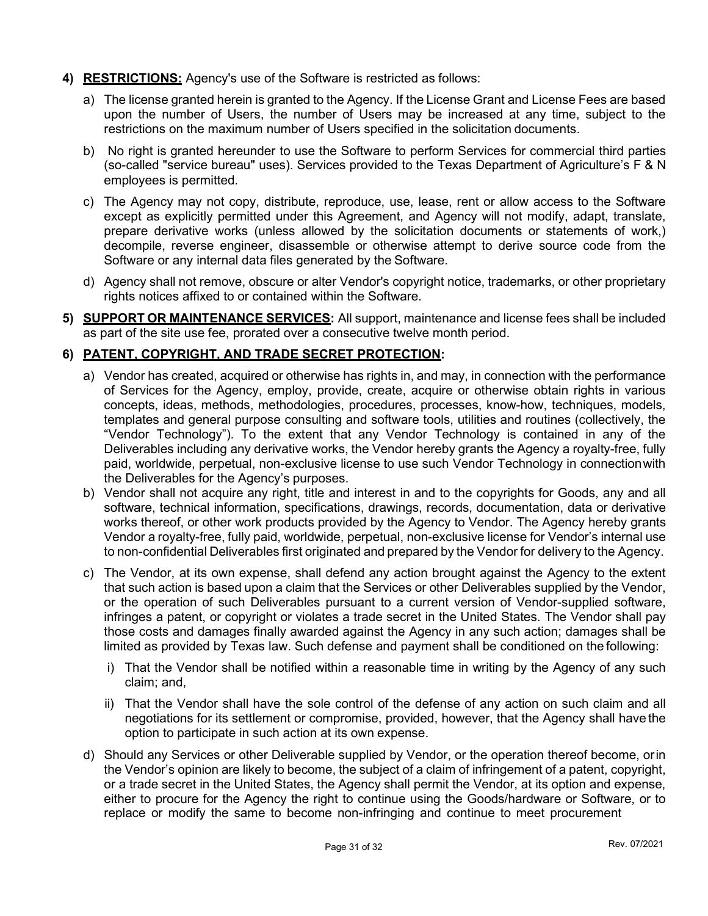#### 4) **RESTRICTIONS:** Agency's use of the Software is restricted as follows:

- a) The license granted herein is granted to the Agency. If the License Grant and License Fees are based upon the number of Users, the number of Users may be increased at any time, subject to the restrictions on the maximum number of Users specified in the solicitation documents.
- b) No right is granted hereunder to use the Software to perform Services for commercial third parties (so-called "service bureau" uses). Services provided to the Texas Department of Agriculture's F & N employees is permitted.
- c) The Agency may not copy, distribute, reproduce, use, lease, rent or allow access to the Software except as explicitly permitted under this Agreement, and Agency will not modify, adapt, translate, prepare derivative works (unless allowed by the solicitation documents or statements of work,) decompile, reverse engineer, disassemble or otherwise attempt to derive source code from the Software or any internal data files generated by the Software.
- d) Agency shall not remove, obscure or alter Vendor's copyright notice, trademarks, or other proprietary rights notices affixed to or contained within the Software.
- 5) SUPPORT OR MAINTENANCE SERVICES: All support, maintenance and license fees shall be included as part of the site use fee, prorated over a consecutive twelve month period.

## 6) PATENT, COPYRIGHT, AND TRADE SECRET PROTECTION:

- a) Vendor has created, acquired or otherwise has rights in, and may, in connection with the performance of Services for the Agency, employ, provide, create, acquire or otherwise obtain rights in various concepts, ideas, methods, methodologies, procedures, processes, know-how, techniques, models, templates and general purpose consulting and software tools, utilities and routines (collectively, the "Vendor Technology"). To the extent that any Vendor Technology is contained in any of the Deliverables including any derivative works, the Vendor hereby grants the Agency a royalty-free, fully paid, worldwide, perpetual, non-exclusive license to use such Vendor Technology in connection with the Deliverables for the Agency's purposes.
- b) Vendor shall not acquire any right, title and interest in and to the copyrights for Goods, any and all software, technical information, specifications, drawings, records, documentation, data or derivative works thereof, or other work products provided by the Agency to Vendor. The Agency hereby grants Vendor a royalty-free, fully paid, worldwide, perpetual, non-exclusive license for Vendor's internal use to non-confidential Deliverables first originated and prepared by the Vendor for delivery to the Agency.
- c) The Vendor, at its own expense, shall defend any action brought against the Agency to the extent that such action is based upon a claim that the Services or other Deliverables supplied by the Vendor, or the operation of such Deliverables pursuant to a current version of Vendor-supplied software, infringes a patent, or copyright or violates a trade secret in the United States. The Vendor shall pay those costs and damages finally awarded against the Agency in any such action; damages shall be limited as provided by Texas law. Such defense and payment shall be conditioned on the following:
	- i) That the Vendor shall be notified within a reasonable time in writing by the Agency of any such claim; and,
	- ii) That the Vendor shall have the sole control of the defense of any action on such claim and all negotiations for its settlement or compromise, provided, however, that the Agency shall have the option to participate in such action at its own expense.
- d) Should any Services or other Deliverable supplied by Vendor, or the operation thereof become, or in the Vendor's opinion are likely to become, the subject of a claim of infringement of a patent, copyright, or a trade secret in the United States, the Agency shall permit the Vendor, at its option and expense, either to procure for the Agency the right to continue using the Goods/hardware or Software, or to replace or modify the same to become non-infringing and continue to meet procurement